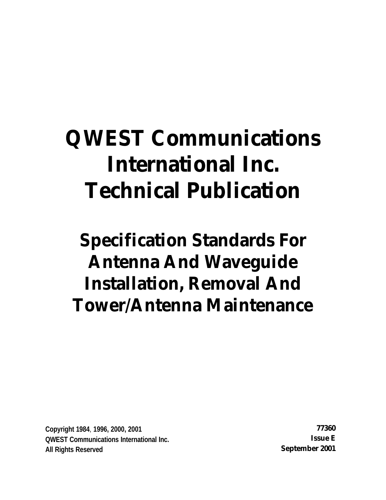# **QWEST Communications International Inc. Technical Publication**

# **Specification Standards For Antenna And Waveguide Installation, Removal And Tower/Antenna Maintenance**

**Copyright 1984**, **1996, 2000, 2001 77360 QWEST Communications International Inc. Issue E All Rights Reserved September 2001**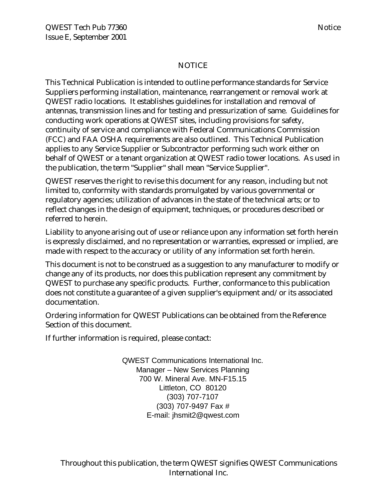### NOTICE

This Technical Publication is intended to outline performance standards for Service Suppliers performing installation, maintenance, rearrangement or removal work at QWEST radio locations. It establishes guidelines for installation and removal of antennas, transmission lines and for testing and pressurization of same. Guidelines for conducting work operations at QWEST sites, including provisions for safety, continuity of service and compliance with Federal Communications Commission (FCC) and FAA OSHA requirements are also outlined. This Technical Publication applies to any Service Supplier or Subcontractor performing such work either on behalf of QWEST or a tenant organization at QWEST radio tower locations. As used in the publication, the term "Supplier" shall mean "Service Supplier".

QWEST reserves the right to revise this document for any reason, including but not limited to, conformity with standards promulgated by various governmental or regulatory agencies; utilization of advances in the state of the technical arts; or to reflect changes in the design of equipment, techniques, or procedures described or referred to herein.

Liability to anyone arising out of use or reliance upon any information set forth herein is expressly disclaimed, and no representation or warranties, expressed or implied, are made with respect to the accuracy or utility of any information set forth herein.

This document is not to be construed as a suggestion to any manufacturer to modify or change any of its products, nor does this publication represent any commitment by QWEST to purchase any specific products. Further, conformance to this publication does not constitute a guarantee of a given supplier's equipment and/or its associated documentation.

Ordering information for QWEST Publications can be obtained from the Reference Section of this document.

If further information is required, please contact:

QWEST Communications International Inc. Manager – New Services Planning 700 W. Mineral Ave. MN-F15.15 Littleton, CO 80120 (303) 707-7107 (303) 707-9497 Fax # E-mail: jhsmit2@qwest.com

Throughout this publication, the term QWEST signifies QWEST Communications International Inc.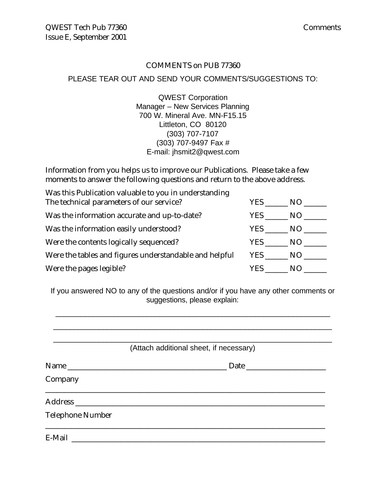#### COMMENTS on PUB 77360

#### PLEASE TEAR OUT AND SEND YOUR COMMENTS/SUGGESTIONS TO:

QWEST Corporation Manager – New Services Planning 700 W. Mineral Ave. MN-F15.15 Littleton, CO 80120 (303) 707-7107 (303) 707-9497 Fax # E-mail: jhsmit2@qwest.com

Information from you helps us to improve our Publications. Please take a few moments to answer the following questions and return to the above address.

| Was this Publication valuable to you in understanding  |        |        |
|--------------------------------------------------------|--------|--------|
| The technical parameters of our service?               | YES NO |        |
| Was the information accurate and up-to-date?           | YES    | NO     |
| Was the information easily understood?                 |        | YES NO |
| Were the contents logically sequenced?                 |        | YES NO |
| Were the tables and figures understandable and helpful |        | YES NO |
| Were the pages legible?                                | YES    | NO.    |

If you answered NO to any of the questions and/or if you have any other comments or suggestions, please explain:

|                         | (Attach additional sheet, if necessary) |
|-------------------------|-----------------------------------------|
|                         |                                         |
| Company                 |                                         |
|                         |                                         |
| <b>Telephone Number</b> |                                         |
|                         |                                         |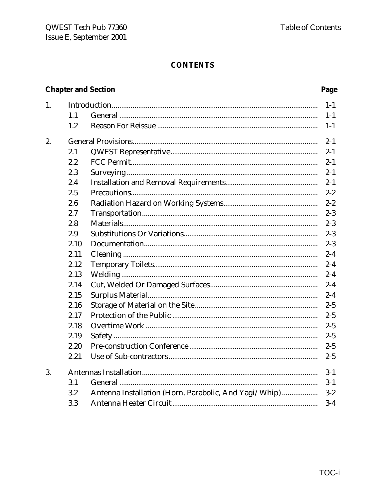### **CONTENTS**

## **Chapter and Section**

| 1. |      |                                                       | $1 - 1$ |
|----|------|-------------------------------------------------------|---------|
|    | 1.1  |                                                       | $1 - 1$ |
|    | 1.2  |                                                       | $1 - 1$ |
| 2. |      |                                                       | $2 - 1$ |
|    | 2.1  |                                                       | $2 - 1$ |
|    | 2.2  |                                                       | $2 - 1$ |
|    | 2.3  |                                                       | $2 - 1$ |
|    | 2.4  |                                                       | $2 - 1$ |
|    | 2.5  |                                                       | $2 - 2$ |
|    | 2.6  |                                                       | $2 - 2$ |
|    | 2.7  |                                                       | $2 - 3$ |
|    | 2.8  |                                                       | $2 - 3$ |
|    | 2.9  |                                                       | $2 - 3$ |
|    | 2.10 |                                                       | $2 - 3$ |
|    | 2.11 |                                                       | $2 - 4$ |
|    | 2.12 |                                                       | $2 - 4$ |
|    | 2.13 |                                                       | $2 - 4$ |
|    | 2.14 |                                                       | $2 - 4$ |
|    | 2.15 |                                                       | $2 - 4$ |
|    | 2.16 |                                                       | $2 - 5$ |
|    | 2.17 |                                                       | $2 - 5$ |
|    | 2.18 |                                                       | $2 - 5$ |
|    | 2.19 |                                                       | $2 - 5$ |
|    | 2.20 |                                                       | $2 - 5$ |
|    | 2.21 |                                                       | $2 - 5$ |
| 3. |      |                                                       | $3 - 1$ |
|    | 3.1  |                                                       | $3-1$   |
|    | 3.2  | Antenna Installation (Horn, Parabolic, And Yagi/Whip) | $3 - 2$ |
|    | 3.3  |                                                       | $3-4$   |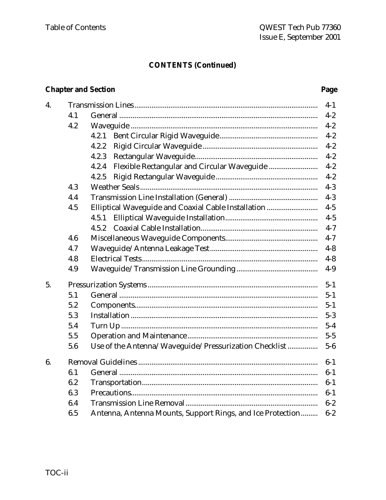### **CONTENTS (Continued)**

### **Chapter and Section**

| 4. |     |                                                            | $4-1$   |
|----|-----|------------------------------------------------------------|---------|
|    | 4.1 |                                                            | $4 - 2$ |
|    | 4.2 |                                                            | $4 - 2$ |
|    |     | 4.2.1                                                      | $4 - 2$ |
|    |     | 4.2.2                                                      | $4 - 2$ |
|    |     | 4.2.3                                                      | $4 - 2$ |
|    |     | 4.2.4                                                      | $4 - 2$ |
|    |     | 4.2.5                                                      | $4 - 2$ |
|    | 4.3 |                                                            | $4 - 3$ |
|    | 4.4 |                                                            | $4 - 3$ |
|    | 4.5 | Elliptical Waveguide and Coaxial Cable Installation        | $4 - 5$ |
|    |     | 4.5.1                                                      | $4 - 5$ |
|    |     | 4.5.2                                                      | $4 - 7$ |
|    | 4.6 |                                                            | $4 - 7$ |
|    | 4.7 |                                                            | $4 - 8$ |
|    | 4.8 |                                                            | $4 - 8$ |
|    | 4.9 |                                                            | $4-9$   |
| 5. |     |                                                            | $5 - 1$ |
|    | 5.1 |                                                            | $5 - 1$ |
|    | 5.2 |                                                            | $5 - 1$ |
|    | 5.3 |                                                            | $5 - 3$ |
|    | 5.4 |                                                            | $5 - 4$ |
|    | 5.5 |                                                            | $5 - 5$ |
|    | 5.6 | Use of the Antenna/Waveguide/Pressurization Checklist      | $5-6$   |
| 6. |     |                                                            | $6-1$   |
|    | 6.1 |                                                            | $6-1$   |
|    | 6.2 |                                                            | $6-1$   |
|    | 6.3 |                                                            | $6-1$   |
|    | 6.4 |                                                            | $6 - 2$ |
|    | 6.5 | Antenna, Antenna Mounts, Support Rings, and Ice Protection | $6-2$   |
|    |     |                                                            |         |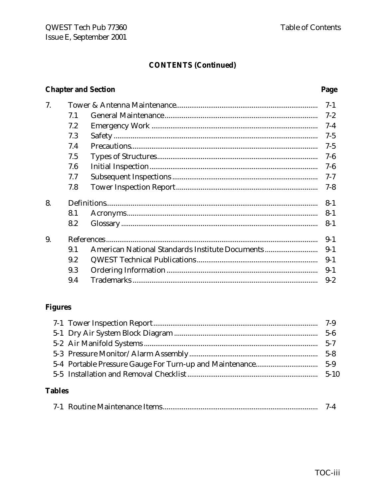### **CONTENTS (Continued)**

### **Chapter and Section**

| 7. |     |                                                 | $7 - 1$ |
|----|-----|-------------------------------------------------|---------|
|    | 7.1 |                                                 | $7 - 2$ |
|    | 7.2 |                                                 | $7 - 4$ |
|    | 7.3 |                                                 | $7 - 5$ |
|    | 7.4 |                                                 | $7 - 5$ |
|    | 7.5 |                                                 | $7-6$   |
|    | 7.6 |                                                 | $7-6$   |
|    | 7.7 |                                                 | $7 - 7$ |
|    | 7.8 |                                                 | $7 - 8$ |
| 8. |     |                                                 | $8 - 1$ |
|    | 8.1 |                                                 | $8 - 1$ |
|    | 8.2 |                                                 | $8 - 1$ |
| 9. |     |                                                 | $9 - 1$ |
|    | 9.1 | American National Standards Institute Documents | $9 - 1$ |
|    | 9.2 |                                                 | $9 - 1$ |
|    | 9.3 |                                                 | $9 - 1$ |
|    | 9.4 |                                                 | $9 - 2$ |
|    |     |                                                 |         |

## **Figures**

### **Tables**

|--|--|--|--|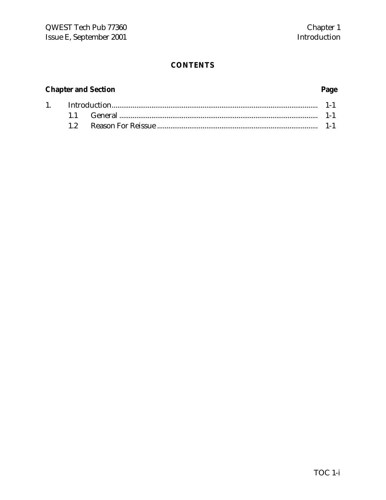### **CONTENTS**

## **Chapter and Section Page**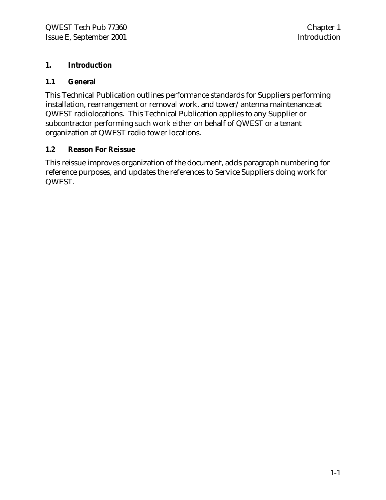### **1. Introduction**

### **1.1 General**

This Technical Publication outlines performance standards for Suppliers performing installation, rearrangement or removal work, and tower/antenna maintenance at QWEST radiolocations. This Technical Publication applies to any Supplier or subcontractor performing such work either on behalf of QWEST or a tenant organization at QWEST radio tower locations.

### **1.2 Reason For Reissue**

This reissue improves organization of the document, adds paragraph numbering for reference purposes, and updates the references to Service Suppliers doing work for QWEST.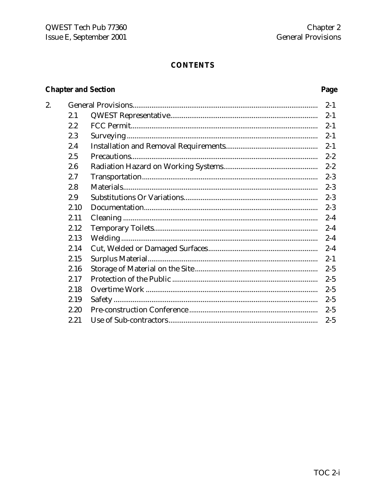### **CONTENTS**

## **Chapter and Section**

| 2. |      |         |
|----|------|---------|
|    |      | $2 - 1$ |
|    | 2.1  | $2 - 1$ |
|    | 2.2  | $2 - 1$ |
|    | 2.3  | $2 - 1$ |
|    | 2.4  | $2 - 1$ |
|    | 2.5  | $2 - 2$ |
|    | 2.6  | $2 - 2$ |
|    | 2.7  | $2 - 3$ |
|    | 2.8  | $2 - 3$ |
|    | 2.9  | $2 - 3$ |
|    | 2.10 | $2 - 3$ |
|    | 2.11 | $2 - 4$ |
|    | 2.12 | $2 - 4$ |
|    | 2.13 | $2 - 4$ |
|    | 2.14 | $2 - 4$ |
|    | 2.15 | $2 - 1$ |
|    | 2.16 | $2 - 5$ |
|    | 2.17 | $2 - 5$ |
|    | 2.18 | $2 - 5$ |
|    | 2.19 | $2 - 5$ |
|    | 2.20 | $2 - 5$ |
|    | 2.21 | $2 - 5$ |
|    |      |         |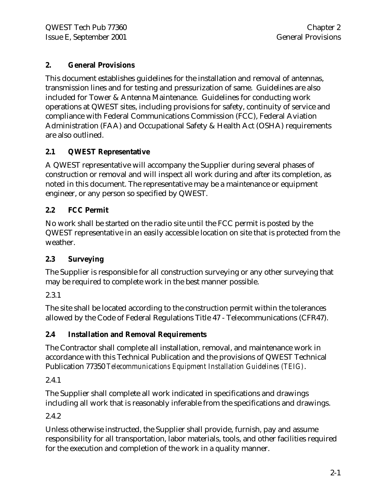### **2. General Provisions**

This document establishes guidelines for the installation and removal of antennas, transmission lines and for testing and pressurization of same. Guidelines are also included for Tower & Antenna Maintenance. Guidelines for conducting work operations at QWEST sites, including provisions for safety, continuity of service and compliance with Federal Communications Commission (FCC), Federal Aviation Administration (FAA) and Occupational Safety & Health Act (OSHA) requirements are also outlined.

### **2.1 QWEST Representative**

A QWEST representative will accompany the Supplier during several phases of construction or removal and will inspect all work during and after its completion, as noted in this document. The representative may be a maintenance or equipment engineer, or any person so specified by QWEST.

### **2.2 FCC Permit**

No work shall be started on the radio site until the FCC permit is posted by the QWEST representative in an easily accessible location on site that is protected from the weather.

### **2.3 Surveying**

The Supplier is responsible for all construction surveying or any other surveying that may be required to complete work in the best manner possible.

### 2.3.1

The site shall be located according to the construction permit within the tolerances allowed by the Code of Federal Regulations Title 47 - Telecommunications (CFR47).

### **2.4 Installation and Removal Requirements**

The Contractor shall complete all installation, removal, and maintenance work in accordance with this Technical Publication and the provisions of QWEST Technical Publication 77350 *Telecommunications Equipment Installation Guidelines (TEIG)*.

### 2.4.1

The Supplier shall complete all work indicated in specifications and drawings including all work that is reasonably inferable from the specifications and drawings.

### 2.4.2

Unless otherwise instructed, the Supplier shall provide, furnish, pay and assume responsibility for all transportation, labor materials, tools, and other facilities required for the execution and completion of the work in a quality manner.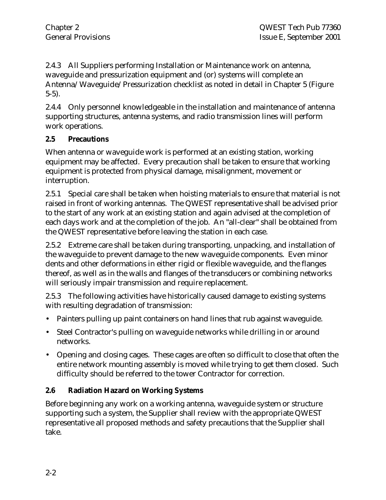2.4.3 All Suppliers performing Installation or Maintenance work on antenna, waveguide and pressurization equipment and (or) systems will complete an Antenna/Waveguide/Pressurization checklist as noted in detail in Chapter 5 (Figure 5-5).

2.4.4 Only personnel knowledgeable in the installation and maintenance of antenna supporting structures, antenna systems, and radio transmission lines will perform work operations.

### **2.5 Precautions**

When antenna or waveguide work is performed at an existing station, working equipment may be affected. Every precaution shall be taken to ensure that working equipment is protected from physical damage, misalignment, movement or interruption.

2.5.1 Special care shall be taken when hoisting materials to ensure that material is not raised in front of working antennas. The QWEST representative shall be advised prior to the start of any work at an existing station and again advised at the completion of each days work and at the completion of the job. An "all-clear" shall be obtained from the QWEST representative before leaving the station in each case.

2.5.2 Extreme care shall be taken during transporting, unpacking, and installation of the waveguide to prevent damage to the new waveguide components. Even minor dents and other deformations in either rigid or flexible waveguide, and the flanges thereof, as well as in the walls and flanges of the transducers or combining networks will seriously impair transmission and require replacement.

2.5.3 The following activities have historically caused damage to existing systems with resulting degradation of transmission:

- Painters pulling up paint containers on hand lines that rub against waveguide.
- Steel Contractor's pulling on waveguide networks while drilling in or around networks.
- Opening and closing cages. These cages are often so difficult to close that often the entire network mounting assembly is moved while trying to get them closed. Such difficulty should be referred to the tower Contractor for correction.

### **2.6 Radiation Hazard on Working Systems**

Before beginning any work on a working antenna, waveguide system or structure supporting such a system, the Supplier shall review with the appropriate QWEST representative all proposed methods and safety precautions that the Supplier shall take.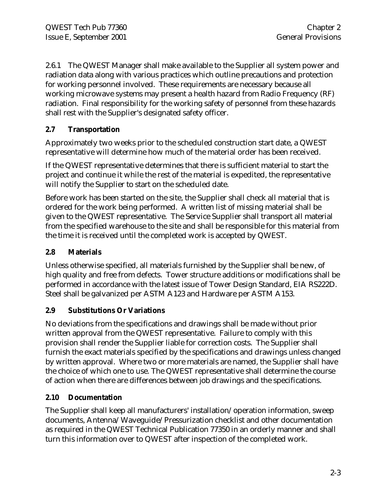2.6.1 The QWEST Manager shall make available to the Supplier all system power and radiation data along with various practices which outline precautions and protection for working personnel involved. These requirements are necessary because all working microwave systems may present a health hazard from Radio Frequency (RF) radiation. Final responsibility for the working safety of personnel from these hazards shall rest with the Supplier's designated safety officer.

### **2.7 Transportation**

Approximately two weeks prior to the scheduled construction start date, a QWEST representative will determine how much of the material order has been received.

If the QWEST representative determines that there is sufficient material to start the project and continue it while the rest of the material is expedited, the representative will notify the Supplier to start on the scheduled date.

Before work has been started on the site, the Supplier shall check all material that is ordered for the work being performed. A written list of missing material shall be given to the QWEST representative. The Service Supplier shall transport all material from the specified warehouse to the site and shall be responsible for this material from the time it is received until the completed work is accepted by QWEST.

### **2.8 Materials**

Unless otherwise specified, all materials furnished by the Supplier shall be new, of high quality and free from defects. Tower structure additions or modifications shall be performed in accordance with the latest issue of Tower Design Standard, EIA RS222D. Steel shall be galvanized per ASTM A123 and Hardware per ASTM A153.

### **2.9 Substitutions Or Variations**

No deviations from the specifications and drawings shall be made without prior written approval from the QWEST representative. Failure to comply with this provision shall render the Supplier liable for correction costs. The Supplier shall furnish the exact materials specified by the specifications and drawings unless changed by written approval. Where two or more materials are named, the Supplier shall have the choice of which one to use. The QWEST representative shall determine the course of action when there are differences between job drawings and the specifications.

### **2.10 Documentation**

The Supplier shall keep all manufacturers' installation/operation information, sweep documents, Antenna/Waveguide/Pressurization checklist and other documentation as required in the QWEST Technical Publication 77350 in an orderly manner and shall turn this information over to QWEST after inspection of the completed work.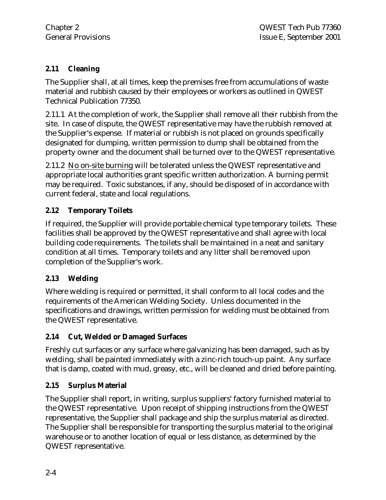### **2.11 Cleaning**

The Supplier shall, at all times, keep the premises free from accumulations of waste material and rubbish caused by their employees or workers as outlined in QWEST Technical Publication 77350.

2.11.1 At the completion of work, the Supplier shall remove all their rubbish from the site. In case of dispute, the QWEST representative may have the rubbish removed at the Supplier's expense. If material or rubbish is not placed on grounds specifically designated for dumping, written permission to dump shall be obtained from the property owner and the document shall be turned over to the QWEST representative.

2.11.2 No on-site burning will be tolerated unless the QWEST representative and appropriate local authorities grant specific written authorization. A burning permit may be required. Toxic substances, if any, should be disposed of in accordance with current federal, state and local regulations.

### **2.12 Temporary Toilets**

If required, the Supplier will provide portable chemical type temporary toilets. These facilities shall be approved by the QWEST representative and shall agree with local building code requirements. The toilets shall be maintained in a neat and sanitary condition at all times. Temporary toilets and any litter shall be removed upon completion of the Supplier's work.

### **2.13 Welding**

Where welding is required or permitted, it shall conform to all local codes and the requirements of the American Welding Society. Unless documented in the specifications and drawings, written permission for welding must be obtained from the QWEST representative.

### **2.14 Cut, Welded or Damaged Surfaces**

Freshly cut surfaces or any surface where galvanizing has been damaged, such as by welding, shall be painted immediately with a zinc-rich touch-up paint. Any surface that is damp, coated with mud, greasy, etc., will be cleaned and dried before painting.

### **2.15 Surplus Material**

The Supplier shall report, in writing, surplus suppliers' factory furnished material to the QWEST representative. Upon receipt of shipping instructions from the QWEST representative, the Supplier shall package and ship the surplus material as directed. The Supplier shall be responsible for transporting the surplus material to the original warehouse or to another location of equal or less distance, as determined by the QWEST representative.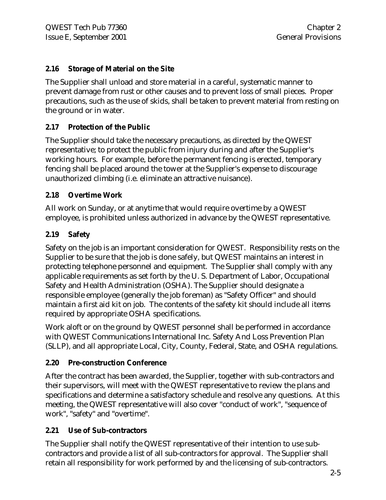### **2.16 Storage of Material on the Site**

The Supplier shall unload and store material in a careful, systematic manner to prevent damage from rust or other causes and to prevent loss of small pieces. Proper precautions, such as the use of skids, shall be taken to prevent material from resting on the ground or in water.

### **2.17 Protection of the Public**

The Supplier should take the necessary precautions, as directed by the QWEST representative; to protect the public from injury during and after the Supplier's working hours. For example, before the permanent fencing is erected, temporary fencing shall be placed around the tower at the Supplier's expense to discourage unauthorized climbing (i.e. eliminate an attractive nuisance).

### **2.18 Overtime Work**

All work on Sunday, or at anytime that would require overtime by a QWEST employee, is prohibited unless authorized in advance by the QWEST representative.

### **2.19 Safety**

Safety on the job is an important consideration for QWEST. Responsibility rests on the Supplier to be sure that the job is done safely, but QWEST maintains an interest in protecting telephone personnel and equipment. The Supplier shall comply with any applicable requirements as set forth by the U. S. Department of Labor, Occupational Safety and Health Administration (OSHA). The Supplier should designate a responsible employee (generally the job foreman) as "Safety Officer" and should maintain a first aid kit on job. The contents of the safety kit should include all items required by appropriate OSHA specifications.

Work aloft or on the ground by QWEST personnel shall be performed in accordance with QWEST Communications International Inc. Safety And Loss Prevention Plan (SLLP), and all appropriate Local, City, County, Federal, State, and OSHA regulations.

### **2.20 Pre-construction Conference**

After the contract has been awarded, the Supplier, together with sub-contractors and their supervisors, will meet with the QWEST representative to review the plans and specifications and determine a satisfactory schedule and resolve any questions. At this meeting, the QWEST representative will also cover "conduct of work", "sequence of work", "safety" and "overtime".

### **2.21 Use of Sub-contractors**

The Supplier shall notify the QWEST representative of their intention to use subcontractors and provide a list of all sub-contractors for approval. The Supplier shall retain all responsibility for work performed by and the licensing of sub-contractors.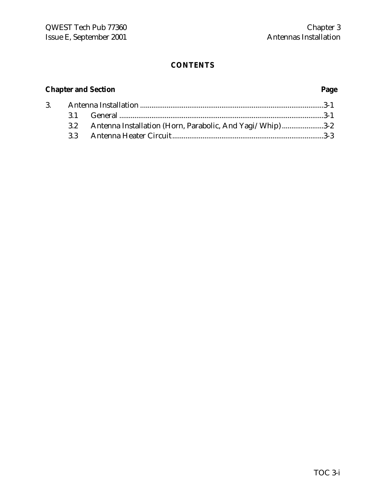### **CONTENTS**

## **Chapter and Section Page**

|  | 3.2 Antenna Installation (Horn, Parabolic, And Yagi/Whip)3-2 |  |
|--|--------------------------------------------------------------|--|
|  |                                                              |  |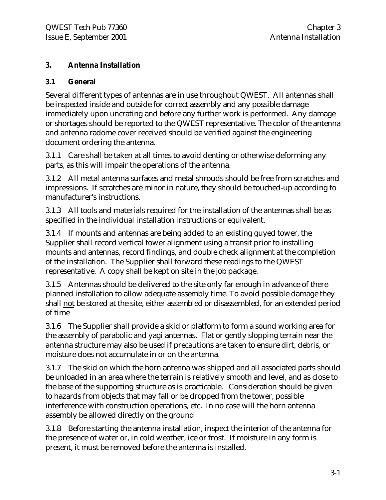### **3. Antenna Installation**

### **3.1 General**

Several different types of antennas are in use throughout QWEST. All antennas shall be inspected inside and outside for correct assembly and any possible damage immediately upon uncrating and before any further work is performed. Any damage or shortages should be reported to the QWEST representative. The color of the antenna and antenna radome cover received should be verified against the engineering document ordering the antenna.

3.1.1 Care shall be taken at all times to avoid denting or otherwise deforming any parts, as this will impair the operations of the antenna.

3.1.2 All metal antenna surfaces and metal shrouds should be free from scratches and impressions. If scratches are minor in nature, they should be touched-up according to manufacturer's instructions.

3.1.3 All tools and materials required for the installation of the antennas shall be as specified in the individual installation instructions or equivalent.

3.1.4 If mounts and antennas are being added to an existing guyed tower, the Supplier shall record vertical tower alignment using a transit prior to installing mounts and antennas, record findings, and double check alignment at the completion of the installation. The Supplier shall forward these readings to the QWEST representative. A copy shall be kept on site in the job package.

3.1.5 Antennas should be delivered to the site only far enough in advance of there planned installation to allow adequate assembly time. To avoid possible damage they shall not be stored at the site, either assembled or disassembled, for an extended period of time

3.1.6 The Supplier shall provide a skid or platform to form a sound working area for the assembly of parabolic and yagi antennas. Flat or gently slopping terrain near the antenna structure may also be used if precautions are taken to ensure dirt, debris, or moisture does not accumulate in or on the antenna.

3.1.7 The skid on which the horn antenna was shipped and all associated parts should be unloaded in an area where the terrain is relatively smooth and level, and as close to the base of the supporting structure as is practicable. Consideration should be given to hazards from objects that may fall or be dropped from the tower, possible interference with construction operations, etc. In no case will the horn antenna assembly be allowed directly on the ground

3.1.8 Before starting the antenna installation, inspect the interior of the antenna for the presence of water or, in cold weather, ice or frost. If moisture in any form is present, it must be removed before the antenna is installed.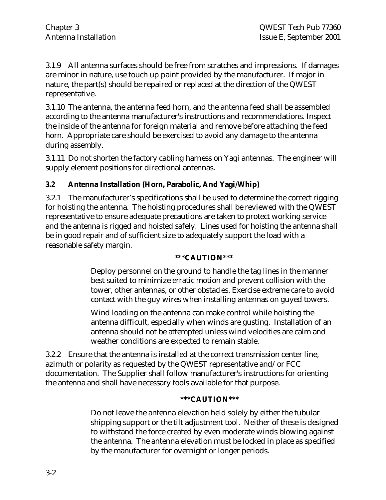3.1.9 All antenna surfaces should be free from scratches and impressions. If damages are minor in nature, use touch up paint provided by the manufacturer. If major in nature, the part(s) should be repaired or replaced at the direction of the QWEST representative.

3.1.10 The antenna, the antenna feed horn, and the antenna feed shall be assembled according to the antenna manufacturer's instructions and recommendations. Inspect the inside of the antenna for foreign material and remove before attaching the feed horn. Appropriate care should be exercised to avoid any damage to the antenna during assembly.

3.1.11 Do not shorten the factory cabling harness on Yagi antennas. The engineer will supply element positions for directional antennas.

### **3.2 Antenna Installation (Horn, Parabolic, And Yagi/Whip)**

3.2.1 The manufacturer's specifications shall be used to determine the correct rigging for hoisting the antenna. The hoisting procedures shall be reviewed with the QWEST representative to ensure adequate precautions are taken to protect working service and the antenna is rigged and hoisted safely. Lines used for hoisting the antenna shall be in good repair and of sufficient size to adequately support the load with a reasonable safety margin.

### **\*\*\*CAUTION\*\*\***

Deploy personnel on the ground to handle the tag lines in the manner best suited to minimize erratic motion and prevent collision with the tower, other antennas, or other obstacles. Exercise extreme care to avoid contact with the guy wires when installing antennas on guyed towers.

Wind loading on the antenna can make control while hoisting the antenna difficult, especially when winds are gusting. Installation of an antenna should not be attempted unless wind velocities are calm and weather conditions are expected to remain stable.

3.2.2 Ensure that the antenna is installed at the correct transmission center line, azimuth or polarity as requested by the QWEST representative and/or FCC documentation. The Supplier shall follow manufacturer's instructions for orienting the antenna and shall have necessary tools available for that purpose.

#### **\*\*\*CAUTION\*\*\***

Do not leave the antenna elevation held solely by either the tubular shipping support or the tilt adjustment tool. Neither of these is designed to withstand the force created by even moderate winds blowing against the antenna. The antenna elevation must be locked in place as specified by the manufacturer for overnight or longer periods.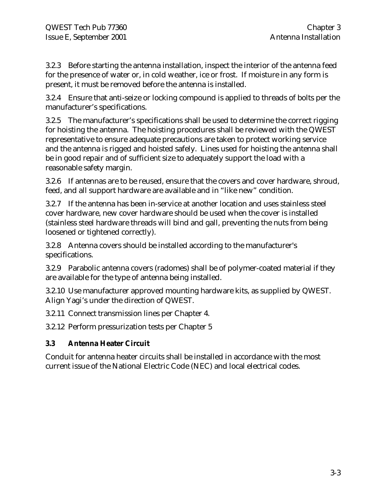3.2.3 Before starting the antenna installation, inspect the interior of the antenna feed for the presence of water or, in cold weather, ice or frost. If moisture in any form is present, it must be removed before the antenna is installed.

3.2.4 Ensure that anti-seize or locking compound is applied to threads of bolts per the manufacturer's specifications.

3.2.5 The manufacturer's specifications shall be used to determine the correct rigging for hoisting the antenna. The hoisting procedures shall be reviewed with the QWEST representative to ensure adequate precautions are taken to protect working service and the antenna is rigged and hoisted safely. Lines used for hoisting the antenna shall be in good repair and of sufficient size to adequately support the load with a reasonable safety margin.

3.2.6 If antennas are to be reused, ensure that the covers and cover hardware, shroud, feed, and all support hardware are available and in "like new" condition.

3.2.7 If the antenna has been in-service at another location and uses stainless steel cover hardware, new cover hardware should be used when the cover is installed (stainless steel hardware threads will bind and gall, preventing the nuts from being loosened or tightened correctly).

3.2.8 Antenna covers should be installed according to the manufacturer's specifications.

3.2.9 Parabolic antenna covers (radomes) shall be of polymer-coated material if they are available for the type of antenna being installed.

3.2.10 Use manufacturer approved mounting hardware kits, as supplied by QWEST. Align Yagi's under the direction of QWEST.

3.2.11 Connect transmission lines per Chapter 4.

3.2.12 Perform pressurization tests per Chapter 5

### **3.3 Antenna Heater Circuit**

Conduit for antenna heater circuits shall be installed in accordance with the most current issue of the National Electric Code (NEC) and local electrical codes.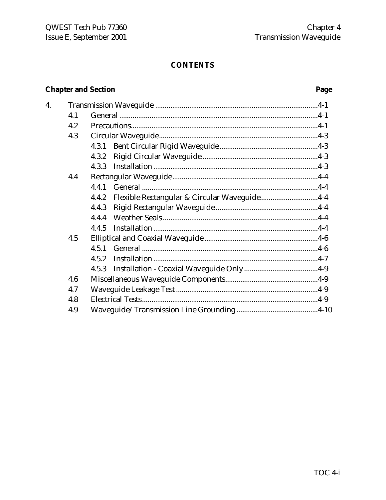### **CONTENTS**

### **Chapter and Section**

4.

| 4.1 |                                                       |  |
|-----|-------------------------------------------------------|--|
| 4.2 |                                                       |  |
| 4.3 |                                                       |  |
|     | 4.3.1                                                 |  |
|     | 4.3.2                                                 |  |
|     | 4.3.3                                                 |  |
| 4.4 |                                                       |  |
|     | 4.4.1                                                 |  |
|     | Flexible Rectangular & Circular Waveguide4-4<br>4.4.2 |  |
|     | 4.4.3                                                 |  |
|     | 4.4.4                                                 |  |
|     | 4.4.5                                                 |  |
| 4.5 |                                                       |  |
|     | 4.5.1                                                 |  |
|     | 4.5.2                                                 |  |
|     |                                                       |  |
| 4.6 |                                                       |  |
| 4.7 |                                                       |  |
| 4.8 |                                                       |  |
| 4.9 |                                                       |  |
|     |                                                       |  |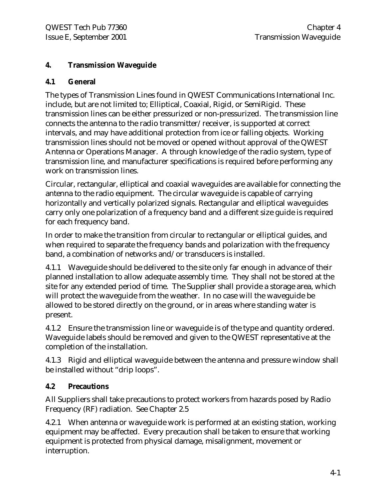### **4. Transmission Waveguide**

### **4.1 General**

The types of Transmission Lines found in QWEST Communications International Inc. include, but are not limited to; Elliptical, Coaxial, Rigid, or SemiRigid. These transmission lines can be either pressurized or non-pressurized. The transmission line connects the antenna to the radio transmitter/receiver, is supported at correct intervals, and may have additional protection from ice or falling objects. Working transmission lines should not be moved or opened without approval of the QWEST Antenna or Operations Manager. A through knowledge of the radio system, type of transmission line, and manufacturer specifications is required before performing any work on transmission lines.

Circular, rectangular, elliptical and coaxial waveguides are available for connecting the antenna to the radio equipment. The circular waveguide is capable of carrying horizontally and vertically polarized signals. Rectangular and elliptical waveguides carry only one polarization of a frequency band and a different size guide is required for each frequency band.

In order to make the transition from circular to rectangular or elliptical guides, and when required to separate the frequency bands and polarization with the frequency band, a combination of networks and/or transducers is installed.

4.1.1 Waveguide should be delivered to the site only far enough in advance of their planned installation to allow adequate assembly time. They shall not be stored at the site for any extended period of time. The Supplier shall provide a storage area, which will protect the waveguide from the weather. In no case will the waveguide be allowed to be stored directly on the ground, or in areas where standing water is present.

4.1.2 Ensure the transmission line or waveguide is of the type and quantity ordered. Waveguide labels should be removed and given to the QWEST representative at the completion of the installation.

4.1.3 Rigid and elliptical waveguide between the antenna and pressure window shall be installed without "drip loops".

### **4.2 Precautions**

All Suppliers shall take precautions to protect workers from hazards posed by Radio Frequency (RF) radiation. See Chapter 2.5

4.2.1 When antenna or waveguide work is performed at an existing station, working equipment may be affected. Every precaution shall be taken to ensure that working equipment is protected from physical damage, misalignment, movement or interruption.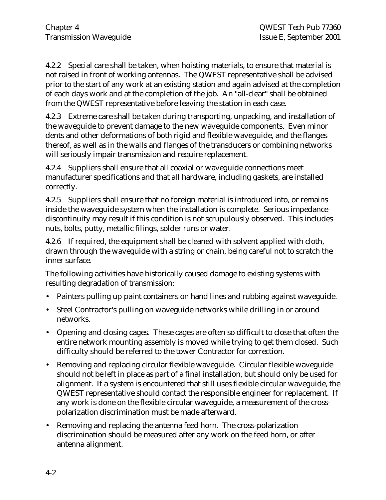4.2.2 Special care shall be taken, when hoisting materials, to ensure that material is not raised in front of working antennas. The QWEST representative shall be advised prior to the start of any work at an existing station and again advised at the completion of each days work and at the completion of the job. An "all-clear" shall be obtained from the QWEST representative before leaving the station in each case.

4.2.3 Extreme care shall be taken during transporting, unpacking, and installation of the waveguide to prevent damage to the new waveguide components. Even minor dents and other deformations of both rigid and flexible waveguide, and the flanges thereof, as well as in the walls and flanges of the transducers or combining networks will seriously impair transmission and require replacement.

4.2.4 Suppliers shall ensure that all coaxial or waveguide connections meet manufacturer specifications and that all hardware, including gaskets, are installed correctly.

4.2.5 Suppliers shall ensure that no foreign material is introduced into, or remains inside the waveguide system when the installation is complete. Serious impedance discontinuity may result if this condition is not scrupulously observed. This includes nuts, bolts, putty, metallic filings, solder runs or water.

4.2.6 If required, the equipment shall be cleaned with solvent applied with cloth, drawn through the waveguide with a string or chain, being careful not to scratch the inner surface.

The following activities have historically caused damage to existing systems with resulting degradation of transmission:

- Painters pulling up paint containers on hand lines and rubbing against waveguide.
- Steel Contractor's pulling on waveguide networks while drilling in or around networks.
- Opening and closing cages. These cages are often so difficult to close that often the entire network mounting assembly is moved while trying to get them closed. Such difficulty should be referred to the tower Contractor for correction.
- Removing and replacing circular flexible waveguide. Circular flexible waveguide should not be left in place as part of a final installation, but should only be used for alignment. If a system is encountered that still uses flexible circular waveguide, the QWEST representative should contact the responsible engineer for replacement. If any work is done on the flexible circular waveguide, a measurement of the crosspolarization discrimination must be made afterward.
- Removing and replacing the antenna feed horn. The cross-polarization discrimination should be measured after any work on the feed horn, or after antenna alignment.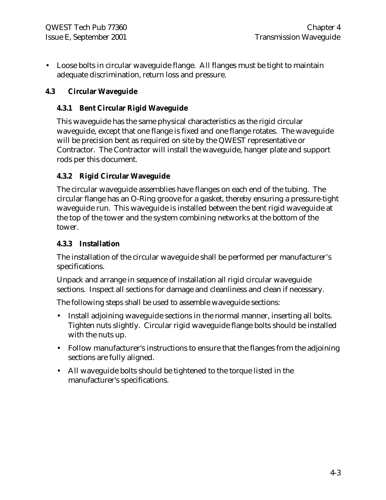• Loose bolts in circular waveguide flange. All flanges must be tight to maintain adequate discrimination, return loss and pressure.

### **4.3 Circular Waveguide**

### **4.3.1 Bent Circular Rigid Waveguide**

This waveguide has the same physical characteristics as the rigid circular waveguide, except that one flange is fixed and one flange rotates. The waveguide will be precision bent as required on site by the QWEST representative or Contractor. The Contractor will install the waveguide, hanger plate and support rods per this document.

### **4.3.2 Rigid Circular Waveguide**

The circular waveguide assemblies have flanges on each end of the tubing. The circular flange has an O-Ring groove for a gasket, thereby ensuring a pressure-tight waveguide run. This waveguide is installed between the bent rigid waveguide at the top of the tower and the system combining networks at the bottom of the tower.

### **4.3.3 Installation**

The installation of the circular waveguide shall be performed per manufacturer's specifications.

Unpack and arrange in sequence of installation all rigid circular waveguide sections. Inspect all sections for damage and cleanliness and clean if necessary.

The following steps shall be used to assemble waveguide sections:

- Install adjoining waveguide sections in the normal manner, inserting all bolts. Tighten nuts slightly. Circular rigid waveguide flange bolts should be installed with the nuts up.
- Follow manufacturer's instructions to ensure that the flanges from the adjoining sections are fully aligned.
- All waveguide bolts should be tightened to the torque listed in the manufacturer's specifications.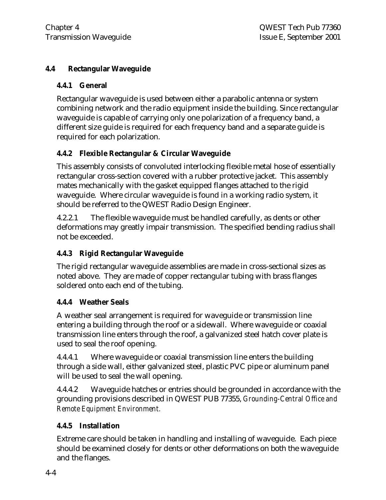### **4.4 Rectangular Waveguide**

### **4.4.1 General**

Rectangular waveguide is used between either a parabolic antenna or system combining network and the radio equipment inside the building. Since rectangular waveguide is capable of carrying only one polarization of a frequency band, a different size guide is required for each frequency band and a separate guide is required for each polarization.

### **4.4.2 Flexible Rectangular & Circular Waveguide**

This assembly consists of convoluted interlocking flexible metal hose of essentially rectangular cross-section covered with a rubber protective jacket. This assembly mates mechanically with the gasket equipped flanges attached to the rigid waveguide. Where circular waveguide is found in a working radio system, it should be referred to the QWEST Radio Design Engineer.

4.2.2.1 The flexible waveguide must be handled carefully, as dents or other deformations may greatly impair transmission. The specified bending radius shall not be exceeded.

### **4.4.3 Rigid Rectangular Waveguide**

The rigid rectangular waveguide assemblies are made in cross-sectional sizes as noted above. They are made of copper rectangular tubing with brass flanges soldered onto each end of the tubing.

### **4.4.4 Weather Seals**

A weather seal arrangement is required for waveguide or transmission line entering a building through the roof or a sidewall. Where waveguide or coaxial transmission line enters through the roof, a galvanized steel hatch cover plate is used to seal the roof opening.

4.4.4.1 Where waveguide or coaxial transmission line enters the building through a side wall, either galvanized steel, plastic PVC pipe or aluminum panel will be used to seal the wall opening.

4.4.4.2 Waveguide hatches or entries should be grounded in accordance with the grounding provisions described in QWEST PUB 77355, *Grounding-Central Office and Remote Equipment Environment.*

### **4.4.5 Installation**

Extreme care should be taken in handling and installing of waveguide. Each piece should be examined closely for dents or other deformations on both the waveguide and the flanges.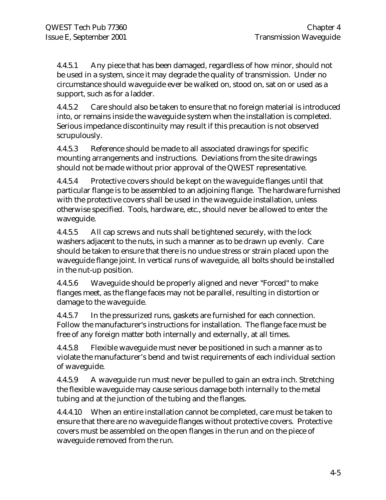4.4.5.1 Any piece that has been damaged, regardless of how minor, should not be used in a system, since it may degrade the quality of transmission. Under no circumstance should waveguide ever be walked on, stood on, sat on or used as a support, such as for a ladder.

4.4.5.2 Care should also be taken to ensure that no foreign material is introduced into, or remains inside the waveguide system when the installation is completed. Serious impedance discontinuity may result if this precaution is not observed scrupulously.

4.4.5.3 Reference should be made to all associated drawings for specific mounting arrangements and instructions. Deviations from the site drawings should not be made without prior approval of the QWEST representative.

4.4.5.4 Protective covers should be kept on the waveguide flanges until that particular flange is to be assembled to an adjoining flange. The hardware furnished with the protective covers shall be used in the waveguide installation, unless otherwise specified. Tools, hardware, etc., should never be allowed to enter the waveguide.

4.4.5.5 All cap screws and nuts shall be tightened securely, with the lock washers adjacent to the nuts, in such a manner as to be drawn up evenly. Care should be taken to ensure that there is no undue stress or strain placed upon the waveguide flange joint. In vertical runs of waveguide, all bolts should be installed in the nut-up position.

4.4.5.6 Waveguide should be properly aligned and never "Forced" to make flanges meet, as the flange faces may not be parallel, resulting in distortion or damage to the waveguide.

4.4.5.7 In the pressurized runs, gaskets are furnished for each connection. Follow the manufacturer's instructions for installation. The flange face must be free of any foreign matter both internally and externally, at all times.

4.4.5.8 Flexible waveguide must never be positioned in such a manner as to violate the manufacturer's bend and twist requirements of each individual section of waveguide.

4.4.5.9 A waveguide run must never be pulled to gain an extra inch. Stretching the flexible waveguide may cause serious damage both internally to the metal tubing and at the junction of the tubing and the flanges.

4.4.4.10 When an entire installation cannot be completed, care must be taken to ensure that there are no waveguide flanges without protective covers. Protective covers must be assembled on the open flanges in the run and on the piece of waveguide removed from the run.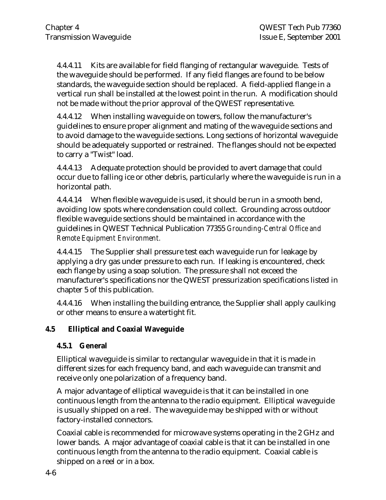4.4.4.11 Kits are available for field flanging of rectangular waveguide. Tests of the waveguide should be performed. If any field flanges are found to be below standards, the waveguide section should be replaced. A field-applied flange in a vertical run shall be installed at the lowest point in the run. A modification should not be made without the prior approval of the QWEST representative.

4.4.4.12 When installing waveguide on towers, follow the manufacturer's guidelines to ensure proper alignment and mating of the waveguide sections and to avoid damage to the waveguide sections. Long sections of horizontal waveguide should be adequately supported or restrained. The flanges should not be expected to carry a "Twist" load.

4.4.4.13 Adequate protection should be provided to avert damage that could occur due to falling ice or other debris, particularly where the waveguide is run in a horizontal path.

4.4.4.14 When flexible waveguide is used, it should be run in a smooth bend, avoiding low spots where condensation could collect. Grounding across outdoor flexible waveguide sections should be maintained in accordance with the guidelines in QWEST Technical Publication 77355 *Grounding-Central Office and Remote Equipment Environment.*

4.4.4.15 The Supplier shall pressure test each waveguide run for leakage by applying a dry gas under pressure to each run. If leaking is encountered, check each flange by using a soap solution. The pressure shall not exceed the manufacturer's specifications nor the QWEST pressurization specifications listed in chapter 5 of this publication.

4.4.4.16 When installing the building entrance, the Supplier shall apply caulking or other means to ensure a watertight fit.

### **4.5 Elliptical and Coaxial Waveguide**

### **4.5.1 General**

Elliptical waveguide is similar to rectangular waveguide in that it is made in different sizes for each frequency band, and each waveguide can transmit and receive only one polarization of a frequency band.

A major advantage of elliptical waveguide is that it can be installed in one continuous length from the antenna to the radio equipment. Elliptical waveguide is usually shipped on a reel. The waveguide may be shipped with or without factory-installed connectors.

Coaxial cable is recommended for microwave systems operating in the 2 GHz and lower bands. A major advantage of coaxial cable is that it can be installed in one continuous length from the antenna to the radio equipment. Coaxial cable is shipped on a reel or in a box.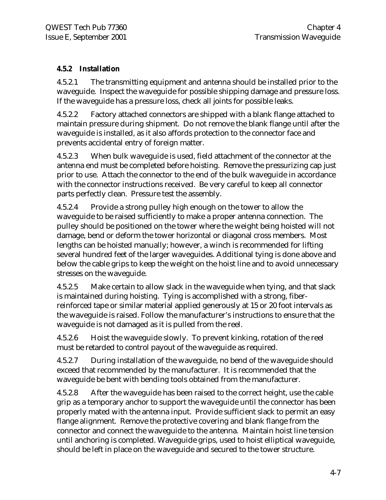### **4.5.2 Installation**

4.5.2.1 The transmitting equipment and antenna should be installed prior to the waveguide. Inspect the waveguide for possible shipping damage and pressure loss. If the waveguide has a pressure loss, check all joints for possible leaks.

4.5.2.2 Factory attached connectors are shipped with a blank flange attached to maintain pressure during shipment. Do not remove the blank flange until after the waveguide is installed, as it also affords protection to the connector face and prevents accidental entry of foreign matter.

4.5.2.3 When bulk waveguide is used, field attachment of the connector at the antenna end must be completed before hoisting. Remove the pressurizing cap just prior to use. Attach the connector to the end of the bulk waveguide in accordance with the connector instructions received. Be very careful to keep all connector parts perfectly clean. Pressure test the assembly.

4.5.2.4 Provide a strong pulley high enough on the tower to allow the waveguide to be raised sufficiently to make a proper antenna connection. The pulley should be positioned on the tower where the weight being hoisted will not damage, bend or deform the tower horizontal or diagonal cross members. Most lengths can be hoisted manually; however, a winch is recommended for lifting several hundred feet of the larger waveguides. Additional tying is done above and below the cable grips to keep the weight on the hoist line and to avoid unnecessary stresses on the waveguide.

4.5.2.5 Make certain to allow slack in the waveguide when tying, and that slack is maintained during hoisting. Tying is accomplished with a strong, fiberreinforced tape or similar material applied generously at 15 or 20 foot intervals as the waveguide is raised. Follow the manufacturer's instructions to ensure that the waveguide is not damaged as it is pulled from the reel.

4.5.2.6 Hoist the waveguide slowly. To prevent kinking, rotation of the reel must be retarded to control payout of the waveguide as required.

4.5.2.7 During installation of the waveguide, no bend of the waveguide should exceed that recommended by the manufacturer. It is recommended that the waveguide be bent with bending tools obtained from the manufacturer.

4.5.2.8 After the waveguide has been raised to the correct height, use the cable grip as a temporary anchor to support the waveguide until the connector has been properly mated with the antenna input. Provide sufficient slack to permit an easy flange alignment. Remove the protective covering and blank flange from the connector and connect the waveguide to the antenna. Maintain hoist line tension until anchoring is completed. Waveguide grips, used to hoist elliptical waveguide, should be left in place on the waveguide and secured to the tower structure.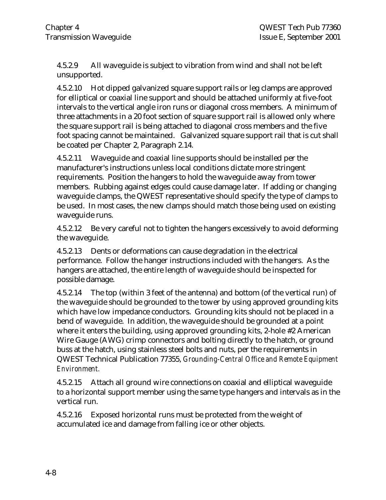4.5.2.9 All waveguide is subject to vibration from wind and shall not be left unsupported.

4.5.2.10 Hot dipped galvanized square support rails or leg clamps are approved for elliptical or coaxial line support and should be attached uniformly at five-foot intervals to the vertical angle iron runs or diagonal cross members. A minimum of three attachments in a 20 foot section of square support rail is allowed only where the square support rail is being attached to diagonal cross members and the five foot spacing cannot be maintained. Galvanized square support rail that is cut shall be coated per Chapter 2, Paragraph 2.14.

4.5.2.11 Waveguide and coaxial line supports should be installed per the manufacturer's instructions unless local conditions dictate more stringent requirements. Position the hangers to hold the waveguide away from tower members. Rubbing against edges could cause damage later. If adding or changing waveguide clamps, the QWEST representative should specify the type of clamps to be used. In most cases, the new clamps should match those being used on existing waveguide runs.

4.5.2.12 Be very careful not to tighten the hangers excessively to avoid deforming the waveguide.

4.5.2.13 Dents or deformations can cause degradation in the electrical performance. Follow the hanger instructions included with the hangers. As the hangers are attached, the entire length of waveguide should be inspected for possible damage.

4.5.2.14 The top (within 3 feet of the antenna) and bottom (of the vertical run) of the waveguide should be grounded to the tower by using approved grounding kits which have low impedance conductors. Grounding kits should not be placed in a bend of waveguide. In addition, the waveguide should be grounded at a point where it enters the building, using approved grounding kits, 2-hole #2 American Wire Gauge (AWG) crimp connectors and bolting directly to the hatch, or ground buss at the hatch, using stainless steel bolts and nuts, per the requirements in QWEST Technical Publication 77355, *Grounding-Central Office and Remote Equipment Environment.*

4.5.2.15 Attach all ground wire connections on coaxial and elliptical waveguide to a horizontal support member using the same type hangers and intervals as in the vertical run.

4.5.2.16 Exposed horizontal runs must be protected from the weight of accumulated ice and damage from falling ice or other objects.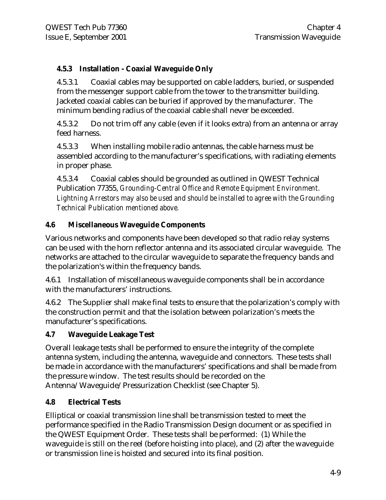### **4.5.3 Installation - Coaxial Waveguide Only**

4.5.3.1 Coaxial cables may be supported on cable ladders, buried, or suspended from the messenger support cable from the tower to the transmitter building. Jacketed coaxial cables can be buried if approved by the manufacturer. The minimum bending radius of the coaxial cable shall never be exceeded.

4.5.3.2 Do not trim off any cable (even if it looks extra) from an antenna or array feed harness.

4.5.3.3 When installing mobile radio antennas, the cable harness must be assembled according to the manufacturer's specifications, with radiating elements in proper phase.

4.5.3.4 Coaxial cables should be grounded as outlined in QWEST Technical Publication 77355, *Grounding-Central Office and Remote Equipment Environment. Lightning Arrestors may also be used and should be installed to agree with the Grounding Technical Publication mentioned above.*

### **4.6 Miscellaneous Waveguide Components**

Various networks and components have been developed so that radio relay systems can be used with the horn reflector antenna and its associated circular waveguide. The networks are attached to the circular waveguide to separate the frequency bands and the polarization's within the frequency bands.

4.6.1 Installation of miscellaneous waveguide components shall be in accordance with the manufacturers' instructions.

4.6.2 The Supplier shall make final tests to ensure that the polarization's comply with the construction permit and that the isolation between polarization's meets the manufacturer's specifications.

### **4.7 Waveguide Leakage Test**

Overall leakage tests shall be performed to ensure the integrity of the complete antenna system, including the antenna, waveguide and connectors. These tests shall be made in accordance with the manufacturers' specifications and shall be made from the pressure window. The test results should be recorded on the Antenna/Waveguide/Pressurization Checklist (see Chapter 5).

### **4.8 Electrical Tests**

Elliptical or coaxial transmission line shall be transmission tested to meet the performance specified in the Radio Transmission Design document or as specified in the QWEST Equipment Order. These tests shall be performed: (1) While the waveguide is still on the reel (before hoisting into place), and (2) after the waveguide or transmission line is hoisted and secured into its final position.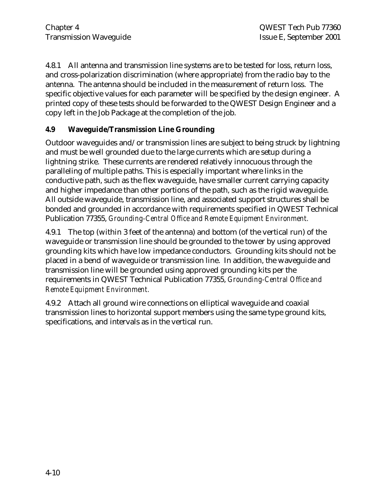4.8.1 All antenna and transmission line systems are to be tested for loss, return loss, and cross-polarization discrimination (where appropriate) from the radio bay to the antenna. The antenna should be included in the measurement of return loss. The specific objective values for each parameter will be specified by the design engineer. A printed copy of these tests should be forwarded to the QWEST Design Engineer and a copy left in the Job Package at the completion of the job.

### **4.9 Waveguide/Transmission Line Grounding**

Outdoor waveguides and/or transmission lines are subject to being struck by lightning and must be well grounded due to the large currents which are setup during a lightning strike. These currents are rendered relatively innocuous through the paralleling of multiple paths. This is especially important where links in the conductive path, such as the flex waveguide, have smaller current carrying capacity and higher impedance than other portions of the path, such as the rigid waveguide. All outside waveguide, transmission line, and associated support structures shall be bonded and grounded in accordance with requirements specified in QWEST Technical Publication 77355, *Grounding-Central Office and Remote Equipment Environment.*

4.9.1 The top (within 3 feet of the antenna) and bottom (of the vertical run) of the waveguide or transmission line should be grounded to the tower by using approved grounding kits which have low impedance conductors. Grounding kits should not be placed in a bend of waveguide or transmission line. In addition, the waveguide and transmission line will be grounded using approved grounding kits per the requirements in QWEST Technical Publication 77355, *Grounding-Central Office and Remote Equipment Environment.*

4.9.2 Attach all ground wire connections on elliptical waveguide and coaxial transmission lines to horizontal support members using the same type ground kits, specifications, and intervals as in the vertical run.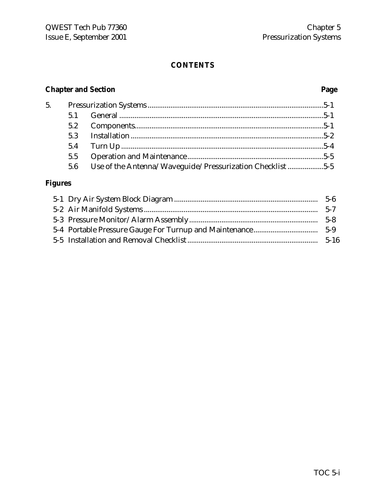### **CONTENTS**

### **Chapter and Section Page**

| 5. |     |                                                           |  |
|----|-----|-----------------------------------------------------------|--|
|    |     |                                                           |  |
|    |     |                                                           |  |
|    |     |                                                           |  |
|    |     |                                                           |  |
|    | 5.5 |                                                           |  |
|    | 5.6 | Use of the Antenna/Waveguide/Pressurization Checklist 5-5 |  |

### **Figures**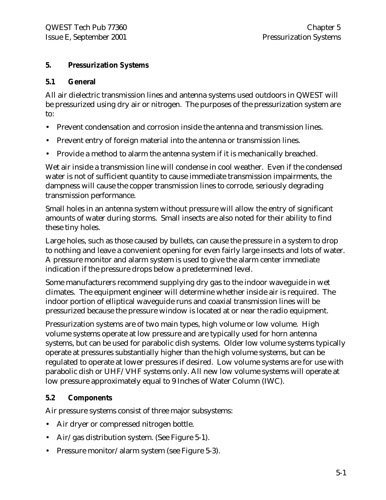### **5. Pressurization Systems**

### **5.1 General**

All air dielectric transmission lines and antenna systems used outdoors in QWEST will be pressurized using dry air or nitrogen. The purposes of the pressurization system are to:

- Prevent condensation and corrosion inside the antenna and transmission lines.
- Prevent entry of foreign material into the antenna or transmission lines.
- Provide a method to alarm the antenna system if it is mechanically breached.

Wet air inside a transmission line will condense in cool weather. Even if the condensed water is not of sufficient quantity to cause immediate transmission impairments, the dampness will cause the copper transmission lines to corrode, seriously degrading transmission performance.

Small holes in an antenna system without pressure will allow the entry of significant amounts of water during storms. Small insects are also noted for their ability to find these tiny holes.

Large holes, such as those caused by bullets, can cause the pressure in a system to drop to nothing and leave a convenient opening for even fairly large insects and lots of water. A pressure monitor and alarm system is used to give the alarm center immediate indication if the pressure drops below a predetermined level.

Some manufacturers recommend supplying dry gas to the indoor waveguide in wet climates. The equipment engineer will determine whether inside air is required. The indoor portion of elliptical waveguide runs and coaxial transmission lines will be pressurized because the pressure window is located at or near the radio equipment.

Pressurization systems are of two main types, high volume or low volume. High volume systems operate at low pressure and are typically used for horn antenna systems, but can be used for parabolic dish systems. Older low volume systems typically operate at pressures substantially higher than the high volume systems, but can be regulated to operate at lower pressures if desired. Low volume systems are for use with parabolic dish or UHF/VHF systems only. All new low volume systems will operate at low pressure approximately equal to 9 Inches of Water Column (IWC).

### **5.2 Components**

Air pressure systems consist of three major subsystems:

- Air dryer or compressed nitrogen bottle.
- Air/gas distribution system. (See Figure 5-1).
- Pressure monitor/alarm system (see Figure 5-3).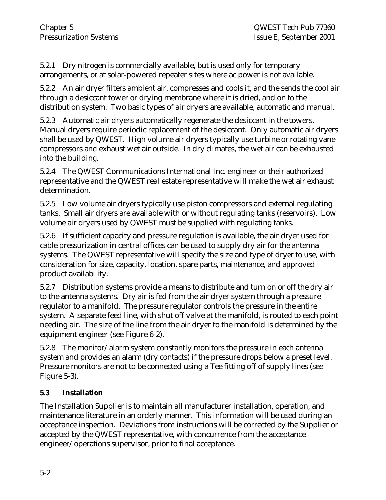5.2.1 Dry nitrogen is commercially available, but is used only for temporary arrangements, or at solar-powered repeater sites where ac power is not available.

5.2.2 An air dryer filters ambient air, compresses and cools it, and the sends the cool air through a desiccant tower or drying membrane where it is dried, and on to the distribution system. Two basic types of air dryers are available, automatic and manual.

5.2.3 Automatic air dryers automatically regenerate the desiccant in the towers. Manual dryers require periodic replacement of the desiccant. Only automatic air dryers shall be used by QWEST. High volume air dryers typically use turbine or rotating vane compressors and exhaust wet air outside. In dry climates, the wet air can be exhausted into the building.

5.2.4 The QWEST Communications International Inc. engineer or their authorized representative and the QWEST real estate representative will make the wet air exhaust determination.

5.2.5 Low volume air dryers typically use piston compressors and external regulating tanks. Small air dryers are available with or without regulating tanks (reservoirs). Low volume air dryers used by QWEST must be supplied with regulating tanks.

5.2.6 If sufficient capacity and pressure regulation is available, the air dryer used for cable pressurization in central offices can be used to supply dry air for the antenna systems. The QWEST representative will specify the size and type of dryer to use, with consideration for size, capacity, location, spare parts, maintenance, and approved product availability.

5.2.7 Distribution systems provide a means to distribute and turn on or off the dry air to the antenna systems. Dry air is fed from the air dryer system through a pressure regulator to a manifold. The pressure regulator controls the pressure in the entire system. A separate feed line, with shut off valve at the manifold, is routed to each point needing air. The size of the line from the air dryer to the manifold is determined by the equipment engineer (see Figure 6-2).

5.2.8 The monitor/alarm system constantly monitors the pressure in each antenna system and provides an alarm (dry contacts) if the pressure drops below a preset level. Pressure monitors are not to be connected using a Tee fitting off of supply lines (see Figure 5-3).

### **5.3 Installation**

The Installation Supplier is to maintain all manufacturer installation, operation, and maintenance literature in an orderly manner. This information will be used during an acceptance inspection. Deviations from instructions will be corrected by the Supplier or accepted by the QWEST representative, with concurrence from the acceptance engineer/operations supervisor, prior to final acceptance.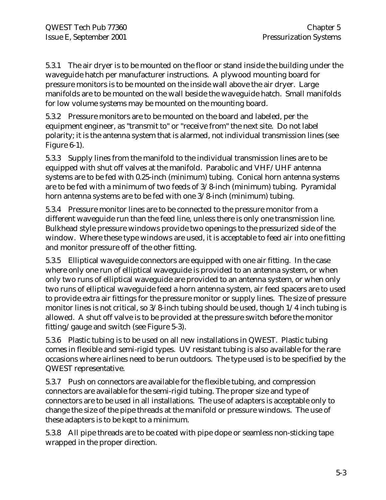5.3.1 The air dryer is to be mounted on the floor or stand inside the building under the waveguide hatch per manufacturer instructions. A plywood mounting board for pressure monitors is to be mounted on the inside wall above the air dryer. Large manifolds are to be mounted on the wall beside the waveguide hatch. Small manifolds for low volume systems may be mounted on the mounting board.

5.3.2 Pressure monitors are to be mounted on the board and labeled, per the equipment engineer, as "transmit to" or "receive from" the next site. Do not label polarity; it is the antenna system that is alarmed, not individual transmission lines (see Figure 6-1).

5.3.3 Supply lines from the manifold to the individual transmission lines are to be equipped with shut off valves at the manifold. Parabolic and VHF/UHF antenna systems are to be fed with 0.25-inch (minimum) tubing. Conical horn antenna systems are to be fed with a minimum of two feeds of 3/8-inch (minimum) tubing. Pyramidal horn antenna systems are to be fed with one  $3/8$ -inch (minimum) tubing.

5.3.4 Pressure monitor lines are to be connected to the pressure monitor from a different waveguide run than the feed line, unless there is only one transmission line. Bulkhead style pressure windows provide two openings to the pressurized side of the window. Where these type windows are used, it is acceptable to feed air into one fitting and monitor pressure off of the other fitting.

5.3.5 Elliptical waveguide connectors are equipped with one air fitting. In the case where only one run of elliptical waveguide is provided to an antenna system, or when only two runs of elliptical waveguide are provided to an antenna system, or when only two runs of elliptical waveguide feed a horn antenna system, air feed spacers are to used to provide extra air fittings for the pressure monitor or supply lines. The size of pressure monitor lines is not critical, so 3/8-inch tubing should be used, though 1/4 inch tubing is allowed. A shut off valve is to be provided at the pressure switch before the monitor fitting/gauge and switch (see Figure 5-3).

5.3.6 Plastic tubing is to be used on all new installations in QWEST. Plastic tubing comes in flexible and semi-rigid types. UV resistant tubing is also available for the rare occasions where airlines need to be run outdoors. The type used is to be specified by the QWEST representative.

5.3.7 Push on connectors are available for the flexible tubing, and compression connectors are available for the semi-rigid tubing. The proper size and type of connectors are to be used in all installations. The use of adapters is acceptable only to change the size of the pipe threads at the manifold or pressure windows. The use of these adapters is to be kept to a minimum.

5.3.8 All pipe threads are to be coated with pipe dope or seamless non-sticking tape wrapped in the proper direction.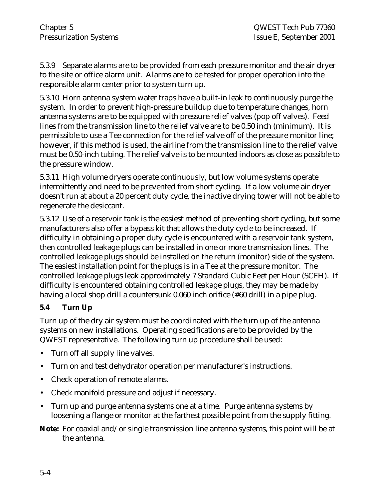5.3.9 Separate alarms are to be provided from each pressure monitor and the air dryer to the site or office alarm unit. Alarms are to be tested for proper operation into the responsible alarm center prior to system turn up.

5.3.10 Horn antenna system water traps have a built-in leak to continuously purge the system. In order to prevent high-pressure buildup due to temperature changes, horn antenna systems are to be equipped with pressure relief valves (pop off valves). Feed lines from the transmission line to the relief valve are to be 0.50 inch (minimum). It is permissible to use a Tee connection for the relief valve off of the pressure monitor line; however, if this method is used, the airline from the transmission line to the relief valve must be 0.50-inch tubing. The relief valve is to be mounted indoors as close as possible to the pressure window.

5.3.11 High volume dryers operate continuously, but low volume systems operate intermittently and need to be prevented from short cycling. If a low volume air dryer doesn't run at about a 20 percent duty cycle, the inactive drying tower will not be able to regenerate the desiccant.

5.3.12 Use of a reservoir tank is the easiest method of preventing short cycling, but some manufacturers also offer a bypass kit that allows the duty cycle to be increased. If difficulty in obtaining a proper duty cycle is encountered with a reservoir tank system, then controlled leakage plugs can be installed in one or more transmission lines. The controlled leakage plugs should be installed on the return (monitor) side of the system. The easiest installation point for the plugs is in a Tee at the pressure monitor. The controlled leakage plugs leak approximately 7 Standard Cubic Feet per Hour (SCFH). If difficulty is encountered obtaining controlled leakage plugs, they may be made by having a local shop drill a countersunk 0.060 inch orifice (#60 drill) in a pipe plug.

### **5.4 Turn Up**

Turn up of the dry air system must be coordinated with the turn up of the antenna systems on new installations. Operating specifications are to be provided by the QWEST representative. The following turn up procedure shall be used:

- Turn off all supply line valves.
- Turn on and test dehydrator operation per manufacturer's instructions.
- Check operation of remote alarms.
- Check manifold pressure and adjust if necessary.
- Turn up and purge antenna systems one at a time. Purge antenna systems by loosening a flange or monitor at the farthest possible point from the supply fitting.

**Note:** For coaxial and/or single transmission line antenna systems, this point will be at the antenna.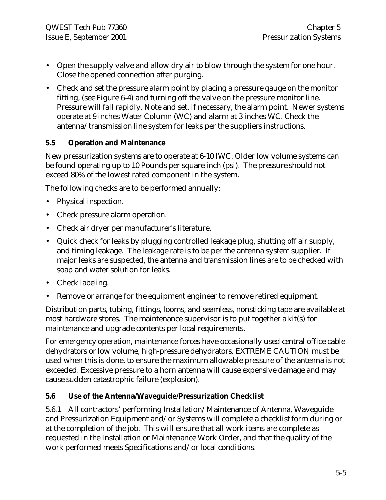- Open the supply valve and allow dry air to blow through the system for one hour. Close the opened connection after purging.
- Check and set the pressure alarm point by placing a pressure gauge on the monitor fitting, (see Figure 6-4) and turning off the valve on the pressure monitor line. Pressure will fall rapidly. Note and set, if necessary, the alarm point. Newer systems operate at 9 inches Water Column (WC) and alarm at 3 inches WC. Check the antenna/transmission line system for leaks per the suppliers instructions.

### **5.5 Operation and Maintenance**

New pressurization systems are to operate at 6-10 IWC. Older low volume systems can be found operating up to 10 Pounds per square inch (psi). The pressure should not exceed 80% of the lowest rated component in the system.

The following checks are to be performed annually:

- Physical inspection.
- Check pressure alarm operation.
- Check air dryer per manufacturer's literature.
- Quick check for leaks by plugging controlled leakage plug, shutting off air supply, and timing leakage. The leakage rate is to be per the antenna system supplier. If major leaks are suspected, the antenna and transmission lines are to be checked with soap and water solution for leaks.
- Check labeling.
- Remove or arrange for the equipment engineer to remove retired equipment.

Distribution parts, tubing, fittings, looms, and seamless, nonsticking tape are available at most hardware stores. The maintenance supervisor is to put together a kit(s) for maintenance and upgrade contents per local requirements.

For emergency operation, maintenance forces have occasionally used central office cable dehydrators or low volume, high-pressure dehydrators. EXTREME CAUTION must be used when this is done, to ensure the maximum allowable pressure of the antenna is not exceeded. Excessive pressure to a horn antenna will cause expensive damage and may cause sudden catastrophic failure (explosion).

### **5.6 Use of the Antenna/Waveguide/Pressurization Checklist**

5.6.1 All contractors' performing Installation/Maintenance of Antenna, Waveguide and Pressurization Equipment and/or Systems will complete a checklist form during or at the completion of the job. This will ensure that all work items are complete as requested in the Installation or Maintenance Work Order, and that the quality of the work performed meets Specifications and/or local conditions.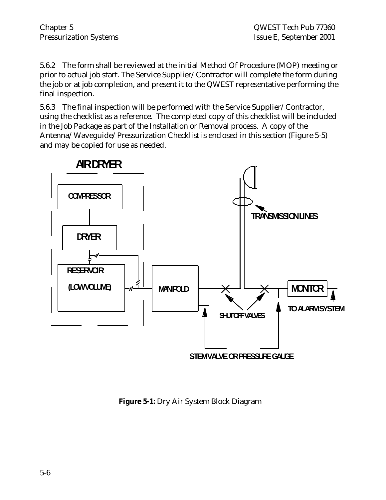5.6.2 The form shall be reviewed at the initial Method Of Procedure (MOP) meeting or prior to actual job start. The Service Supplier/Contractor will complete the form during the job or at job completion, and present it to the QWEST representative performing the final inspection.

5.6.3 The final inspection will be performed with the Service Supplier/Contractor, using the checklist as a reference. The completed copy of this checklist will be included in the Job Package as part of the Installation or Removal process. A copy of the Antenna/Waveguide/Pressurization Checklist is enclosed in this section (Figure 5-5) and may be copied for use as needed.



**Figure 5-1:** Dry Air System Block Diagram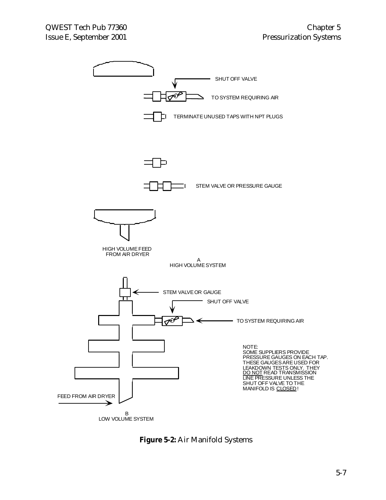

**Figure 5-2:** Air Manifold Systems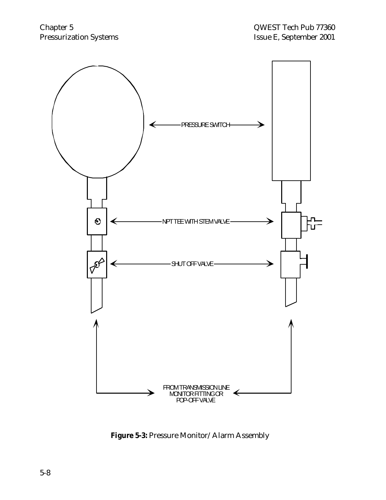

**Figure 5-3:** Pressure Monitor/Alarm Assembly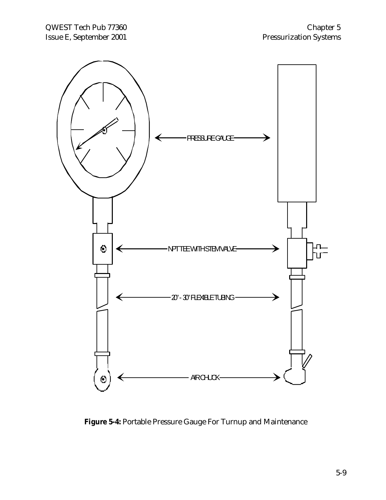

**Figure 5-4:** Portable Pressure Gauge For Turnup and Maintenance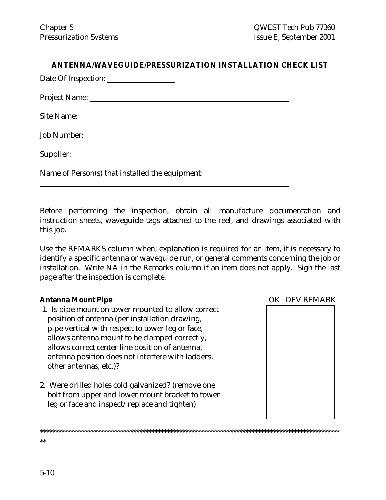#### **ANTENNA/WAVEGUIDE/PRESSURIZATION INSTALLATION CHECK LIST**

Date Of Inspection:

Project Name:

Site Name:

Job Number:

Supplier:

 $\overline{a}$  $\overline{a}$ 

Name of Person(s) that installed the equipment:

Before performing the inspection, obtain all manufacture documentation and instruction sheets, waveguide tags attached to the reel, and drawings associated with this job.

Use the REMARKS column when; explanation is required for an item, it is necessary to identify a specific antenna or waveguide run, or general comments concerning the job or installation. Write NA in the Remarks column if an item does not apply. Sign the last page after the inspection is complete.

\*\*\*\*\*\*\*\*\*\*\*\*\*\*\*\*\*\*\*\*\*\*\*\*\*\*\*\*\*\*\*\*\*\*\*\*\*\*\*\*\*\*\*\*\*\*\*\*\*\*\*\*\*\*\*\*\*\*\*\*\*\*\*\*\*\*\*\*\*\*\*\*\*\*\*\*\*\*\*\*\*\*\*\*\*\*\*\*\*\*\*\*\*\*\*\*\*\*\*

#### **Antenna Mount Pipe OK DEV REMARK**

- 1. Is pipe mount on tower mounted to allow correct position of antenna (per installation drawing, pipe vertical with respect to tower leg or face, allows antenna mount to be clamped correctly, allows correct center line position of antenna, antenna position does not interfere with ladders, other antennas, etc.)?
- 2. Were drilled holes cold galvanized? (remove one bolt from upper and lower mount bracket to tower leg or face and inspect/replace and tighten)



5-10

\*\*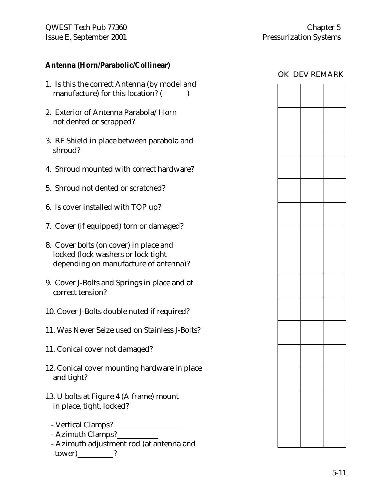#### **Antenna (Horn/Parabolic/Collinear)**

- 1. Is this the correct Antenna (by model and manufacture) for this location? ( )
- 2. Exterior of Antenna Parabola/Horn not dented or scrapped?
- 3. RF Shield in place between parabola and shroud?
- 4. Shroud mounted with correct hardware?
- 5. Shroud not dented or scratched?
- 6. Is cover installed with TOP up?
- 7. Cover (if equipped) torn or damaged?
- 8. Cover bolts (on cover) in place and locked (lock washers or lock tight depending on manufacture of antenna)?
- 9. Cover J-Bolts and Springs in place and at correct tension?
- 10. Cover J-Bolts double nuted if required?
- 11. Was Never Seize used on Stainless J-Bolts?
- 11. Conical cover not damaged?
- 12. Conical cover mounting hardware in place and tight?
- 13. U bolts at Figure 4 (A frame) mount in place, tight, locked?
	- Vertical Clamps?
	- Azimuth Clamps?
	- Azimuth adjustment rod (at antenna and tower) ?

#### OK DEV REMARK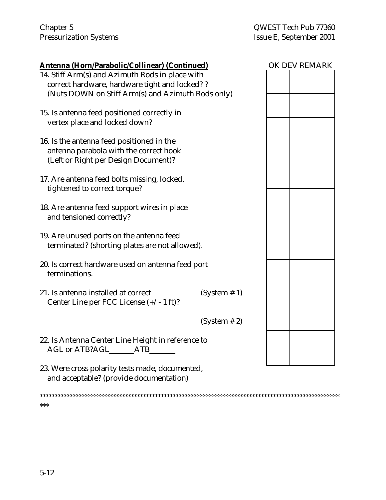| <u> Antenna (Horn/Parabolic/Collinear) (Continued)</u>                                                                      |              | OK DEV REMARK |  |
|-----------------------------------------------------------------------------------------------------------------------------|--------------|---------------|--|
| 14. Stiff Arm(s) and Azimuth Rods in place with<br>correct hardware, hardware tight and locked??                            |              |               |  |
| (Nuts DOWN on Stiff Arm(s) and Azimuth Rods only)                                                                           |              |               |  |
| 15. Is antenna feed positioned correctly in<br>vertex place and locked down?                                                |              |               |  |
| 16. Is the antenna feed positioned in the<br>antenna parabola with the correct hook<br>(Left or Right per Design Document)? |              |               |  |
| 17. Are antenna feed bolts missing, locked,<br>tightened to correct torque?                                                 |              |               |  |
| 18. Are antenna feed support wires in place<br>and tensioned correctly?                                                     |              |               |  |
| 19. Are unused ports on the antenna feed<br>terminated? (shorting plates are not allowed).                                  |              |               |  |
| 20. Is correct hardware used on antenna feed port<br>terminations.                                                          |              |               |  |
| 21. Is antenna installed at correct<br>Center Line per FCC License $(+/- 1$ ft)?                                            | (System # 1) |               |  |
|                                                                                                                             | (System # 2) |               |  |
| 22. Is Antenna Center Line Height in reference to<br><b>AGL or ATB?AGL</b><br><b>ATB</b>                                    |              |               |  |
|                                                                                                                             |              |               |  |

23. Were cross polarity tests made, documented, and acceptable? (provide documentation)

\*\*\*\*\*\*\*\*\*\*\*\*\*\*\*\*\*\*\*\*\*\*\*\*\*\*\*\*\*\*\*\*\*\*\*\*\*\*\*\*\*\*\*\*\*\*\*\*\*\*\*\*\*\*\*\*\*\*\*\*\*\*\*\*\*\*\*\*\*\*\*\*\*\*\*\*\*\*\*\*\*\*\*\*\*\*\*\*\*\*\*\*\*\*\*\*\*\*\* \*\*\*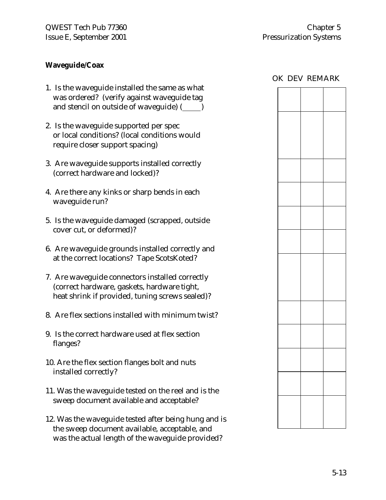#### **Waveguide/Coax**

- 1. Is the waveguide installed the same as what was ordered? (verify against waveguide tag and stencil on outside of waveguide) ( )
- 2. Is the waveguide supported per spec or local conditions? (local conditions would require closer support spacing)
- 3. Are waveguide supports installed correctly (correct hardware and locked)?
- 4. Are there any kinks or sharp bends in each waveguide run?
- 5. Is the waveguide damaged (scrapped, outside cover cut, or deformed)?
- 6. Are waveguide grounds installed correctly and at the correct locations? Tape ScotsKoted?
- 7. Are waveguide connectors installed correctly (correct hardware, gaskets, hardware tight, heat shrink if provided, tuning screws sealed)?
- 8. Are flex sections installed with minimum twist?
- 9. Is the correct hardware used at flex section flanges?
- 10. Are the flex section flanges bolt and nuts installed correctly?
- 11. Was the waveguide tested on the reel and is the sweep document available and acceptable?
- 12. Was the waveguide tested after being hung and is the sweep document available, acceptable, and was the actual length of the waveguide provided?

|  | OK DEV REMARK |
|--|---------------|
|  |               |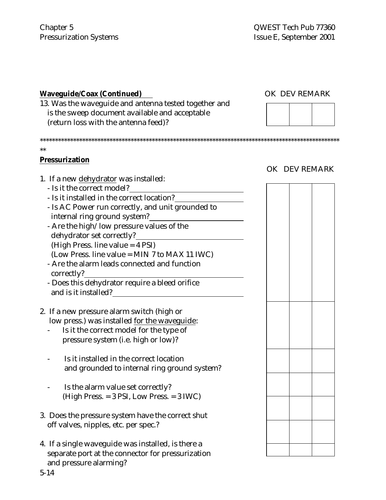| <b>Waveguide/Coax (Continued)</b>                     | OK DEV REMARK |  |
|-------------------------------------------------------|---------------|--|
| 13. Was the waveguide and antenna tested together and |               |  |
| is the sweep document available and acceptable        |               |  |
| (return loss with the antenna feed)?                  |               |  |
|                                                       |               |  |
| $**$                                                  |               |  |
| <b>Pressurization</b>                                 |               |  |
|                                                       | OK DEV REMARK |  |
| 1. If a new dehydrator was installed:                 |               |  |
| - Is it the correct model?                            |               |  |
| - Is it installed in the correct location?            |               |  |
| - Is AC Power run correctly, and unit grounded to     |               |  |
| internal ring ground system?                          |               |  |
| - Are the high/low pressure values of the             |               |  |
| dehydrator set correctly?                             |               |  |
| (High Press. line value = 4 PSI)                      |               |  |
| (Low Press. line value = MIN 7 to MAX 11 IWC)         |               |  |
| - Are the alarm leads connected and function          |               |  |
| correctly?                                            |               |  |
| - Does this dehydrator require a bleed orifice        |               |  |
| and is it installed?                                  |               |  |
|                                                       |               |  |
| 2. If a new pressure alarm switch (high or            |               |  |
| low press.) was installed for the waveguide:          |               |  |
| Is it the correct model for the type of               |               |  |
|                                                       |               |  |
| pressure system (i.e. high or low)?                   |               |  |
| Is it installed in the correct location               |               |  |
|                                                       |               |  |
| and grounded to internal ring ground system?          |               |  |
| Is the alarm value set correctly?                     |               |  |
|                                                       |               |  |
| (High Press. = 3 PSI, Low Press. = 3 IWC)             |               |  |
|                                                       |               |  |
| 3. Does the pressure system have the correct shut     |               |  |
| off valves, nipples, etc. per spec.?                  |               |  |
|                                                       |               |  |
| 4. If a single waveguide was installed, is there a    |               |  |
| separate port at the connector for pressurization     |               |  |

and pressure alarming?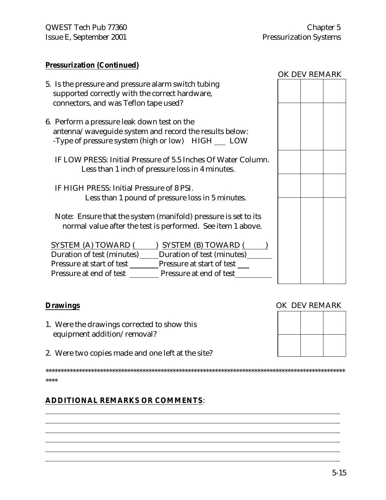#### **Pressurization (Continued)**

- 5. Is the pressure and pressure alarm switch tubing supported correctly with the correct hardware, connectors, and was Teflon tape used?
- 6. Perform a pressure leak down test on the antenna/waveguide system and record the results below: -Type of pressure system (high or low) HIGH LOW
	- IF LOW PRESS: Initial Pressure of 5.5 Inches Of Water Column. Less than 1 inch of pressure loss in 4 minutes.
	- IF HIGH PRESS: Initial Pressure of 8 PSI. Less than 1 pound of pressure loss in 5 minutes.
	- Note: Ensure that the system (manifold) pressure is set to its normal value after the test is performed. See item 1 above.

| <b>SYSTEM (A) TOWARD (</b> | <b>SYSTEM (B) TOWARD (</b> |  |
|----------------------------|----------------------------|--|
| Duration of test (minutes) | Duration of test (minutes) |  |
| Pressure at start of test  | Pressure at start of test  |  |
| Pressure at end of test    | Pressure at end of test    |  |

## **Drawings** OK DEV REMARK

 $\overline{a}$  $\overline{a}$  $\overline{a}$  $\overline{a}$  $\overline{a}$  $\overline{a}$ 

- 1. Were the drawings corrected to show this equipment addition/removal?
- 2. Were two copies made and one left at the site?

\*\*\*\*\*\*\*\*\*\*\*\*\*\*\*\*\*\*\*\*\*\*\*\*\*\*\*\*\*\*\*\*\*\*\*\*\*\*\*\*\*\*\*\*\*\*\*\*\*\*\*\*\*\*\*\*\*\*\*\*\*\*\*\*\*\*\*\*\*\*\*\*\*\*\*\*\*\*\*\*\*\*\*\*\*\*\*\*\*\*\*\*\*\*\*\*\*\*\* \*\*\*\*

## **ADDITIONAL REMARKS OR COMMENTS**:

| OK DEV REMARK |  |
|---------------|--|
|               |  |
|               |  |
|               |  |
|               |  |
|               |  |
|               |  |
|               |  |
|               |  |
|               |  |
|               |  |
|               |  |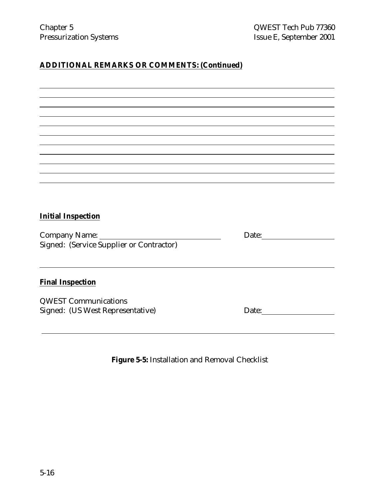# **ADDITIONAL REMARKS OR COMMENTS: (Continued)**

| <b>Initial Inspection</b>                |                                                                           |  |
|------------------------------------------|---------------------------------------------------------------------------|--|
|                                          |                                                                           |  |
|                                          |                                                                           |  |
| Signed: (Service Supplier or Contractor) |                                                                           |  |
|                                          |                                                                           |  |
|                                          |                                                                           |  |
|                                          |                                                                           |  |
| <b>Final Inspection</b>                  |                                                                           |  |
|                                          |                                                                           |  |
| <b>QWEST Communications</b>              |                                                                           |  |
| Signed: (US West Representative)         | Date: $\frac{1}{\sqrt{1-\frac{1}{2}}\cdot\frac{1}{\sqrt{1-\frac{1}{2}}}}$ |  |
|                                          |                                                                           |  |
|                                          |                                                                           |  |
|                                          |                                                                           |  |

**Figure 5-5:** Installation and Removal Checklist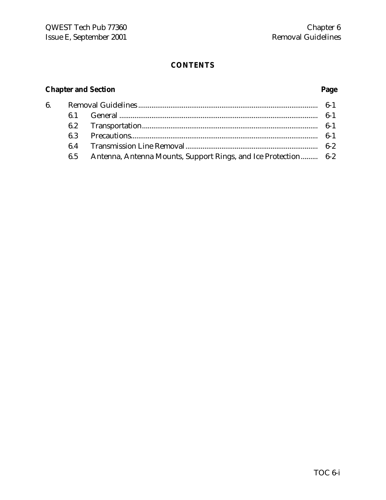## **CONTENTS**

# **Chapter and Section Page**

| 6. |     |                                                                |       |
|----|-----|----------------------------------------------------------------|-------|
|    |     |                                                                | 6-1   |
|    |     |                                                                |       |
|    | 6.3 |                                                                | $6-1$ |
|    | 6.4 |                                                                |       |
|    | 6.5 | Antenna, Antenna Mounts, Support Rings, and Ice Protection 6-2 |       |
|    |     |                                                                |       |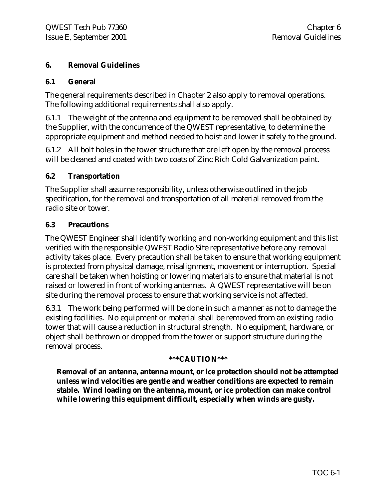#### **6. Removal Guidelines**

#### **6.1 General**

The general requirements described in Chapter 2 also apply to removal operations. The following additional requirements shall also apply.

6.1.1 The weight of the antenna and equipment to be removed shall be obtained by the Supplier, with the concurrence of the QWEST representative, to determine the appropriate equipment and method needed to hoist and lower it safely to the ground.

6.1.2 All bolt holes in the tower structure that are left open by the removal process will be cleaned and coated with two coats of Zinc Rich Cold Galvanization paint.

#### **6.2 Transportation**

The Supplier shall assume responsibility, unless otherwise outlined in the job specification, for the removal and transportation of all material removed from the radio site or tower.

#### **6.3 Precautions**

The QWEST Engineer shall identify working and non-working equipment and this list verified with the responsible QWEST Radio Site representative before any removal activity takes place. Every precaution shall be taken to ensure that working equipment is protected from physical damage, misalignment, movement or interruption. Special care shall be taken when hoisting or lowering materials to ensure that material is not raised or lowered in front of working antennas. A QWEST representative will be on site during the removal process to ensure that working service is not affected.

6.3.1 The work being performed will be done in such a manner as not to damage the existing facilities. No equipment or material shall be removed from an existing radio tower that will cause a reduction in structural strength. No equipment, hardware, or object shall be thrown or dropped from the tower or support structure during the removal process.

#### **\*\*\*CAUTION\*\*\***

**Removal of an antenna, antenna mount, or ice protection should not be attempted unless wind velocities are gentle and weather conditions are expected to remain stable. Wind loading on the antenna, mount, or ice protection can make control while lowering this equipment difficult, especially when winds are gusty.**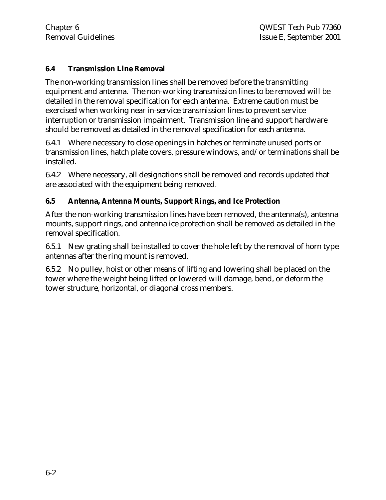#### **6.4 Transmission Line Removal**

The non-working transmission lines shall be removed before the transmitting equipment and antenna. The non-working transmission lines to be removed will be detailed in the removal specification for each antenna. Extreme caution must be exercised when working near in-service transmission lines to prevent service interruption or transmission impairment. Transmission line and support hardware should be removed as detailed in the removal specification for each antenna.

6.4.1 Where necessary to close openings in hatches or terminate unused ports or transmission lines, hatch plate covers, pressure windows, and/or terminations shall be installed.

6.4.2 Where necessary, all designations shall be removed and records updated that are associated with the equipment being removed.

#### **6.5 Antenna, Antenna Mounts, Support Rings, and Ice Protection**

After the non-working transmission lines have been removed, the antenna(s), antenna mounts, support rings, and antenna ice protection shall be removed as detailed in the removal specification.

6.5.1 New grating shall be installed to cover the hole left by the removal of horn type antennas after the ring mount is removed.

6.5.2 No pulley, hoist or other means of lifting and lowering shall be placed on the tower where the weight being lifted or lowered will damage, bend, or deform the tower structure, horizontal, or diagonal cross members.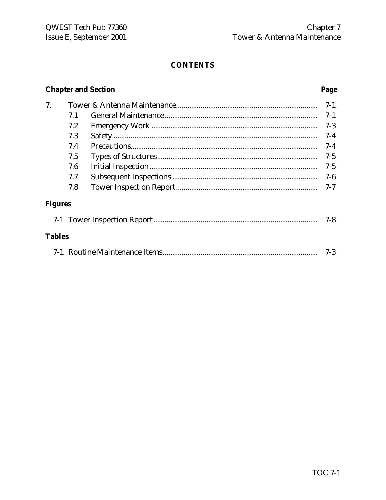## **CONTENTS**

# **Chapter and Section**

## Page

| 7.             |     | $7-1$   |
|----------------|-----|---------|
|                | 7.1 | $7-1$   |
|                | 7.2 | $7-3$   |
|                | 7.3 | $7-4$   |
|                | 7.4 | $7 - 4$ |
|                | 7.5 | $7-5$   |
|                | 7.6 | $7 - 5$ |
|                | 7.7 | $7-6$   |
|                | 7.8 | 7-7     |
| <b>Figures</b> |     |         |
|                |     | $7 - 8$ |
| <b>Tables</b>  |     |         |
|                |     | $7-3$   |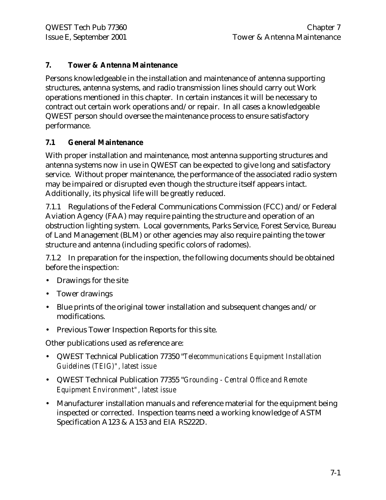#### **7. Tower & Antenna Maintenance**

Persons knowledgeable in the installation and maintenance of antenna supporting structures, antenna systems, and radio transmission lines should carry out Work operations mentioned in this chapter. In certain instances it will be necessary to contract out certain work operations and/or repair. In all cases a knowledgeable QWEST person should oversee the maintenance process to ensure satisfactory performance.

#### **7.1 General Maintenance**

With proper installation and maintenance, most antenna supporting structures and antenna systems now in use in QWEST can be expected to give long and satisfactory service. Without proper maintenance, the performance of the associated radio system may be impaired or disrupted even though the structure itself appears intact. Additionally, its physical life will be greatly reduced.

7.1.1 Regulations of the Federal Communications Commission (FCC) and/or Federal Aviation Agency (FAA) may require painting the structure and operation of an obstruction lighting system. Local governments, Parks Service, Forest Service, Bureau of Land Management (BLM) or other agencies may also require painting the tower structure and antenna (including specific colors of radomes).

7.1.2 In preparation for the inspection, the following documents should be obtained before the inspection:

- Drawings for the site
- Tower drawings
- Blue prints of the original tower installation and subsequent changes and/or modifications.
- Previous Tower Inspection Reports for this site.

Other publications used as reference are:

- QWEST Technical Publication 77350 "*Telecommunications Equipment Installation Guidelines (TEIG)", latest issue*
- QWEST Technical Publication 77355 "*Grounding Central Office and Remote Equipment Environment", latest issue*
- Manufacturer installation manuals and reference material for the equipment being inspected or corrected. Inspection teams need a working knowledge of ASTM Specification A123 & A153 and EIA RS222D.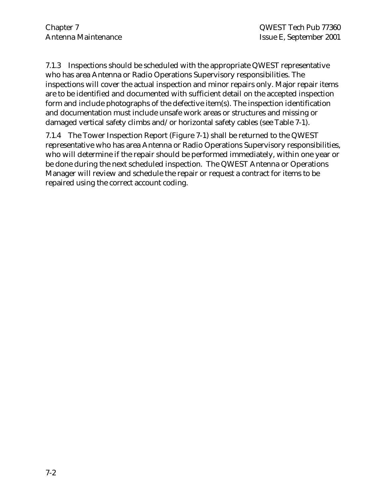7.1.3 Inspections should be scheduled with the appropriate QWEST representative who has area Antenna or Radio Operations Supervisory responsibilities. The inspections will cover the actual inspection and minor repairs only. Major repair items are to be identified and documented with sufficient detail on the accepted inspection form and include photographs of the defective item(s). The inspection identification and documentation must include unsafe work areas or structures and missing or damaged vertical safety climbs and/or horizontal safety cables (see Table 7-1).

7.1.4 The Tower Inspection Report (Figure 7-1) shall be returned to the QWEST representative who has area Antenna or Radio Operations Supervisory responsibilities, who will determine if the repair should be performed immediately, within one year or be done during the next scheduled inspection. The QWEST Antenna or Operations Manager will review and schedule the repair or request a contract for items to be repaired using the correct account coding.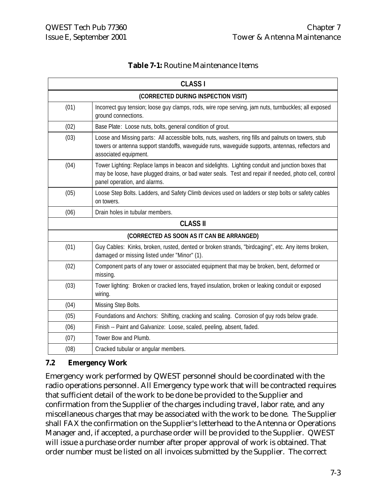|  | <b>Table 7-1:</b> Routine Maintenance Items |
|--|---------------------------------------------|
|--|---------------------------------------------|

|                                           | <b>CLASS I</b>                                                                                                                                                                                                                            |  |  |
|-------------------------------------------|-------------------------------------------------------------------------------------------------------------------------------------------------------------------------------------------------------------------------------------------|--|--|
|                                           | (CORRECTED DURING INSPECTION VISIT)                                                                                                                                                                                                       |  |  |
| (01)                                      | Incorrect guy tension; loose guy clamps, rods, wire rope serving, jam nuts, turnbuckles; all exposed<br>ground connections.                                                                                                               |  |  |
| (02)                                      | Base Plate: Loose nuts, bolts, general condition of grout.                                                                                                                                                                                |  |  |
| (03)                                      | Loose and Missing parts: All accessible bolts, nuts, washers, ring fills and palnuts on towers, stub<br>towers or antenna support standoffs, waveguide runs, waveguide supports, antennas, reflectors and<br>associated equipment.        |  |  |
| (04)                                      | Tower Lighting: Replace lamps in beacon and sidelights. Lighting conduit and junction boxes that<br>may be loose, have plugged drains, or bad water seals. Test and repair if needed, photo cell, control<br>panel operation, and alarms. |  |  |
| (05)                                      | Loose Step Bolts. Ladders, and Safety Climb devices used on ladders or step bolts or safety cables<br>on towers.                                                                                                                          |  |  |
| (06)                                      | Drain holes in tubular members.                                                                                                                                                                                                           |  |  |
| <b>CLASS II</b>                           |                                                                                                                                                                                                                                           |  |  |
| (CORRECTED AS SOON AS IT CAN BE ARRANGED) |                                                                                                                                                                                                                                           |  |  |
| (01)                                      | Guy Cables: Kinks, broken, rusted, dented or broken strands, "birdcaging", etc. Any items broken,<br>damaged or missing listed under "Minor" (1).                                                                                         |  |  |
| (02)                                      | Component parts of any tower or associated equipment that may be broken, bent, deformed or<br>missing.                                                                                                                                    |  |  |
| (03)                                      | Tower lighting: Broken or cracked lens, frayed insulation, broken or leaking conduit or exposed<br>wiring.                                                                                                                                |  |  |
| (04)                                      | Missing Step Bolts.                                                                                                                                                                                                                       |  |  |
| (05)                                      | Foundations and Anchors: Shifting, cracking and scaling. Corrosion of guy rods below grade.                                                                                                                                               |  |  |
| (06)                                      | Finish -- Paint and Galvanize: Loose, scaled, peeling, absent, faded.                                                                                                                                                                     |  |  |
| (07)                                      | Tower Bow and Plumb.                                                                                                                                                                                                                      |  |  |
| (08)                                      | Cracked tubular or angular members.                                                                                                                                                                                                       |  |  |

#### **7.2 Emergency Work**

Emergency work performed by QWEST personnel should be coordinated with the radio operations personnel. All Emergency type work that will be contracted requires that sufficient detail of the work to be done be provided to the Supplier and confirmation from the Supplier of the charges including travel, labor rate, and any miscellaneous charges that may be associated with the work to be done. The Supplier shall FAX the confirmation on the Supplier's letterhead to the Antenna or Operations Manager and, if accepted, a purchase order will be provided to the Supplier. QWEST will issue a purchase order number after proper approval of work is obtained. That order number must be listed on all invoices submitted by the Supplier. The correct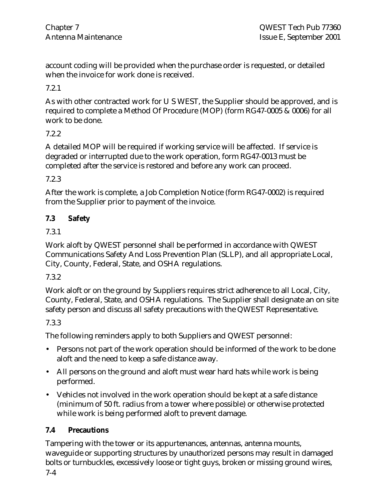account coding will be provided when the purchase order is requested, or detailed when the invoice for work done is received.

7.2.1

As with other contracted work for U S WEST, the Supplier should be approved, and is required to complete a Method Of Procedure (MOP) (form RG47-0005 & 0006) for all work to be done.

## 7.2.2

A detailed MOP will be required if working service will be affected. If service is degraded or interrupted due to the work operation, form RG47-0013 must be completed after the service is restored and before any work can proceed.

7.2.3

After the work is complete, a Job Completion Notice (form RG47-0002) is required from the Supplier prior to payment of the invoice.

## **7.3 Safety**

7.3.1

Work aloft by QWEST personnel shall be performed in accordance with QWEST Communications Safety And Loss Prevention Plan (SLLP), and all appropriate Local, City, County, Federal, State, and OSHA regulations.

## 7.3.2

Work aloft or on the ground by Suppliers requires strict adherence to all Local, City, County, Federal, State, and OSHA regulations. The Supplier shall designate an on site safety person and discuss all safety precautions with the QWEST Representative.

## 7.3.3

The following reminders apply to both Suppliers and QWEST personnel:

- Persons not part of the work operation should be informed of the work to be done aloft and the need to keep a safe distance away.
- All persons on the ground and aloft must wear hard hats while work is being performed.
- Vehicles not involved in the work operation should be kept at a safe distance (minimum of 50 ft. radius from a tower where possible) or otherwise protected while work is being performed aloft to prevent damage.

## **7.4 Precautions**

Tampering with the tower or its appurtenances, antennas, antenna mounts, waveguide or supporting structures by unauthorized persons may result in damaged bolts or turnbuckles, excessively loose or tight guys, broken or missing ground wires,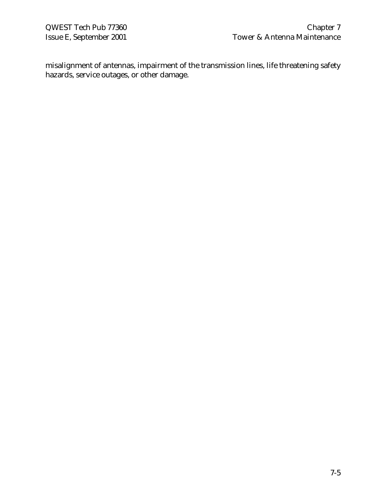misalignment of antennas, impairment of the transmission lines, life threatening safety hazards, service outages, or other damage.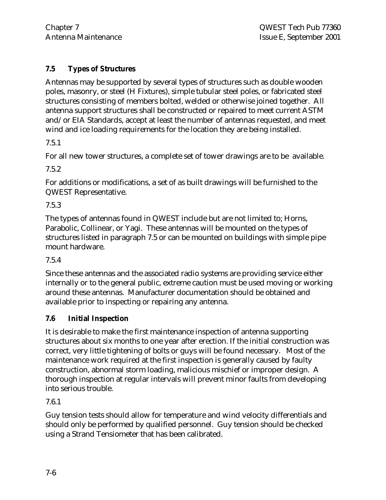## **7.5 Types of Structures**

Antennas may be supported by several types of structures such as double wooden poles, masonry, or steel (H Fixtures), simple tubular steel poles, or fabricated steel structures consisting of members bolted, welded or otherwise joined together. All antenna support structures shall be constructed or repaired to meet current ASTM and/or EIA Standards, accept at least the number of antennas requested, and meet wind and ice loading requirements for the location they are being installed.

7.5.1

For all new tower structures, a complete set of tower drawings are to be available.

7.5.2

For additions or modifications, a set of as built drawings will be furnished to the QWEST Representative.

7.5.3

The types of antennas found in QWEST include but are not limited to; Horns, Parabolic, Collinear, or Yagi. These antennas will be mounted on the types of structures listed in paragraph 7.5 or can be mounted on buildings with simple pipe mount hardware.

7.5.4

Since these antennas and the associated radio systems are providing service either internally or to the general public, extreme caution must be used moving or working around these antennas. Manufacturer documentation should be obtained and available prior to inspecting or repairing any antenna.

## **7.6 Initial Inspection**

It is desirable to make the first maintenance inspection of antenna supporting structures about six months to one year after erection. If the initial construction was correct, very little tightening of bolts or guys will be found necessary. Most of the maintenance work required at the first inspection is generally caused by faulty construction, abnormal storm loading, malicious mischief or improper design. A thorough inspection at regular intervals will prevent minor faults from developing into serious trouble.

7.6.1

Guy tension tests should allow for temperature and wind velocity differentials and should only be performed by qualified personnel. Guy tension should be checked using a Strand Tensiometer that has been calibrated.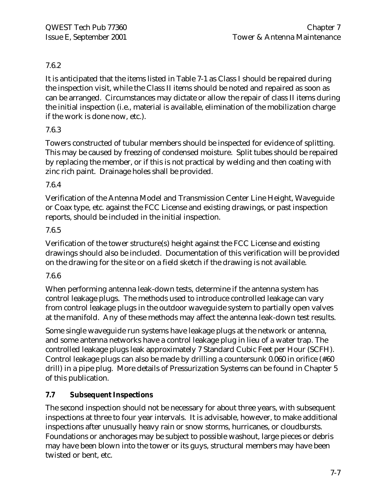## 7.6.2

It is anticipated that the items listed in Table 7-1 as Class I should be repaired during the inspection visit, while the Class II items should be noted and repaired as soon as can be arranged. Circumstances may dictate or allow the repair of class II items during the initial inspection (i.e., material is available, elimination of the mobilization charge if the work is done now, etc.).

## 7.6.3

Towers constructed of tubular members should be inspected for evidence of splitting. This may be caused by freezing of condensed moisture. Split tubes should be repaired by replacing the member, or if this is not practical by welding and then coating with zinc rich paint. Drainage holes shall be provided.

#### 7.6.4

Verification of the Antenna Model and Transmission Center Line Height, Waveguide or Coax type, etc. against the FCC License and existing drawings, or past inspection reports, should be included in the initial inspection.

#### 7.6.5

Verification of the tower structure(s) height against the FCC License and existing drawings should also be included. Documentation of this verification will be provided on the drawing for the site or on a field sketch if the drawing is not available.

#### 7.6.6

When performing antenna leak-down tests, determine if the antenna system has control leakage plugs. The methods used to introduce controlled leakage can vary from control leakage plugs in the outdoor waveguide system to partially open valves at the manifold. Any of these methods may affect the antenna leak-down test results.

Some single waveguide run systems have leakage plugs at the network or antenna, and some antenna networks have a control leakage plug in lieu of a water trap. The controlled leakage plugs leak approximately 7 Standard Cubic Feet per Hour (SCFH). Control leakage plugs can also be made by drilling a countersunk 0.060 in orifice (#60 drill) in a pipe plug. More details of Pressurization Systems can be found in Chapter 5 of this publication.

## **7.7 Subsequent Inspections**

The second inspection should not be necessary for about three years, with subsequent inspections at three to four year intervals. It is advisable, however, to make additional inspections after unusually heavy rain or snow storms, hurricanes, or cloudbursts. Foundations or anchorages may be subject to possible washout, large pieces or debris may have been blown into the tower or its guys, structural members may have been twisted or bent, etc.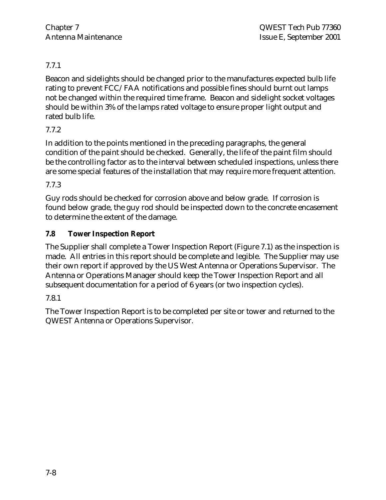## 7.7.1

Beacon and sidelights should be changed prior to the manufactures expected bulb life rating to prevent FCC/FAA notifications and possible fines should burnt out lamps not be changed within the required time frame. Beacon and sidelight socket voltages should be within 3% of the lamps rated voltage to ensure proper light output and rated bulb life.

## 7.7.2

In addition to the points mentioned in the preceding paragraphs, the general condition of the paint should be checked. Generally, the life of the paint film should be the controlling factor as to the interval between scheduled inspections, unless there are some special features of the installation that may require more frequent attention.

7.7.3

Guy rods should be checked for corrosion above and below grade. If corrosion is found below grade, the guy rod should be inspected down to the concrete encasement to determine the extent of the damage.

## **7.8 Tower Inspection Report**

The Supplier shall complete a Tower Inspection Report (Figure 7.1) as the inspection is made. All entries in this report should be complete and legible. The Supplier may use their own report if approved by the US West Antenna or Operations Supervisor. The Antenna or Operations Manager should keep the Tower Inspection Report and all subsequent documentation for a period of 6 years (or two inspection cycles).

## 7.8.1

The Tower Inspection Report is to be completed per site or tower and returned to the QWEST Antenna or Operations Supervisor.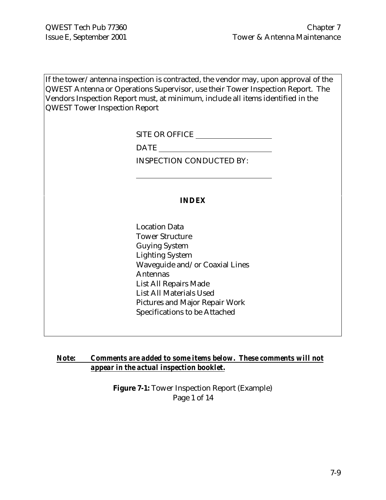If the tower/antenna inspection is contracted, the vendor may, upon approval of the QWEST Antenna or Operations Supervisor, use their Tower Inspection Report. The Vendors Inspection Report must, at minimum, include all items identified in the QWEST Tower Inspection Report

SITE OR OFFICE

DATE

 $\overline{a}$ 

INSPECTION CONDUCTED BY:

#### **INDEX**

Location Data Tower Structure Guying System Lighting System Waveguide and/or Coaxial Lines Antennas List All Repairs Made List All Materials Used Pictures and Major Repair Work Specifications to be Attached

#### *Note: Comments are added to some items below. These comments will not appear in the actual inspection booklet.*

**Figure 7-1:** Tower Inspection Report (Example) Page 1 of 14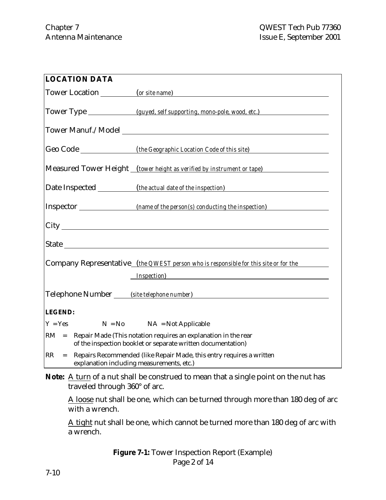| <b>LOCATION DATA</b>                                                                                                           |                                                                                                                                       |  |  |  |
|--------------------------------------------------------------------------------------------------------------------------------|---------------------------------------------------------------------------------------------------------------------------------------|--|--|--|
|                                                                                                                                | Tower Location (or site name)                                                                                                         |  |  |  |
| Tower Type ________________(guyed, self supporting, mono-pole, wood, etc.)                                                     |                                                                                                                                       |  |  |  |
|                                                                                                                                | Tower Manuf./Model                                                                                                                    |  |  |  |
|                                                                                                                                |                                                                                                                                       |  |  |  |
|                                                                                                                                | Measured Tower Height (tower height as verified by instrument or tape)                                                                |  |  |  |
|                                                                                                                                | Date Inspected ____________(the actual date of the inspection)                                                                        |  |  |  |
|                                                                                                                                |                                                                                                                                       |  |  |  |
|                                                                                                                                |                                                                                                                                       |  |  |  |
|                                                                                                                                |                                                                                                                                       |  |  |  |
|                                                                                                                                | Company Representative (the QWEST person who is responsible for this site or for the                                                  |  |  |  |
|                                                                                                                                | <i>Inspection</i> )                                                                                                                   |  |  |  |
| Telephone Number (site telephone number)                                                                                       |                                                                                                                                       |  |  |  |
| <b>LEGEND:</b>                                                                                                                 |                                                                                                                                       |  |  |  |
| $Y = Yes$                                                                                                                      | $N = No$ $NA = Not Applicable$                                                                                                        |  |  |  |
|                                                                                                                                | $RM$ = Repair Made (This notation requires an explanation in the rear<br>of the inspection booklet or separate written documentation) |  |  |  |
| RR<br>Repairs Recommended (like Repair Made, this entry requires a written<br>$=$<br>explanation including measurements, etc.) |                                                                                                                                       |  |  |  |

Note: A turn of a nut shall be construed to mean that a single point on the nut has traveled through 360° of arc.

A loose nut shall be one, which can be turned through more than 180 deg of arc with a wrench.

A tight nut shall be one, which cannot be turned more than 180 deg of arc with a wrench.

> **Figure 7-1:** Tower Inspection Report (Example) Page 2 of 14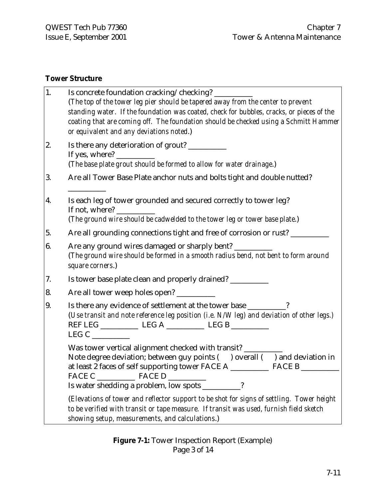## **Tower Structure**

| 1. | Is concrete foundation cracking/checking? ______<br>(The top of the tower leg pier should be tapered away from the center to prevent<br>standing water. If the foundation was coated, check for bubbles, cracks, or pieces of the<br>coating that are coming off. The foundation should be checked using a Schmitt Hammer<br>or equivalent and any deviations noted.)                                                                                                                                                                                                 |
|----|-----------------------------------------------------------------------------------------------------------------------------------------------------------------------------------------------------------------------------------------------------------------------------------------------------------------------------------------------------------------------------------------------------------------------------------------------------------------------------------------------------------------------------------------------------------------------|
| 2. | Is there any deterioration of grout? _________<br>If yes, where? $\frac{1}{\sqrt{1-\frac{1}{2}} \cdot \frac{1}{\sqrt{1-\frac{1}{2}} \cdot \frac{1}{\sqrt{1-\frac{1}{2}} \cdot \frac{1}{\sqrt{1-\frac{1}{2}} \cdot \frac{1}{\sqrt{1-\frac{1}{2}} \cdot \frac{1}{\sqrt{1-\frac{1}{2}} \cdot \frac{1}{\sqrt{1-\frac{1}{2}} \cdot \frac{1}{\sqrt{1-\frac{1}{2}} \cdot \frac{1}{\sqrt{1-\frac{1}{2}} \cdot \frac{1}{\sqrt{1-\frac{1}{2}} \cdot \frac{1}{\sqrt{1-\frac{1}{2}} \cdot \frac{1}{\sqrt$<br>(The base plate grout should be formed to allow for water drainage.) |
| 3. | Are all Tower Base Plate anchor nuts and bolts tight and double nutted?                                                                                                                                                                                                                                                                                                                                                                                                                                                                                               |
| 4. | Is each leg of tower grounded and secured correctly to tower leg?<br>If not, where?<br>(The ground wire should be cadwelded to the tower leg or tower base plate.)                                                                                                                                                                                                                                                                                                                                                                                                    |
| 5. | Are all grounding connections tight and free of corrosion or rust? _________                                                                                                                                                                                                                                                                                                                                                                                                                                                                                          |
| 6. | Are any ground wires damaged or sharply bent? _______<br>(The ground wire should be formed in a smooth radius bend, not bent to form around<br>square corners.)                                                                                                                                                                                                                                                                                                                                                                                                       |
| 7. | Is tower base plate clean and properly drained? __________                                                                                                                                                                                                                                                                                                                                                                                                                                                                                                            |
| 8. | Are all tower weep holes open?                                                                                                                                                                                                                                                                                                                                                                                                                                                                                                                                        |
| 9. | Is there any evidence of settlement at the tower base ________?<br>(Use transit and note reference leg position (i.e. N/W leg) and deviation of other legs.)<br>LEG C                                                                                                                                                                                                                                                                                                                                                                                                 |
|    | Was tower vertical alignment checked with transit? ______<br>Note degree deviation; between guy points () overall () and deviation in<br>at least 2 faces of self supporting tower FACE A _____________ FACE B<br>Is water shedding a problem, low spots _____                                                                                                                                                                                                                                                                                                        |
|    | (Elevations of tower and reflector support to be shot for signs of settling. Tower height<br>to be verified with transit or tape measure. If transit was used, furnish field sketch<br>showing setup, measurements, and calculations.)                                                                                                                                                                                                                                                                                                                                |

**Figure 7-1:** Tower Inspection Report (Example) Page 3 of 14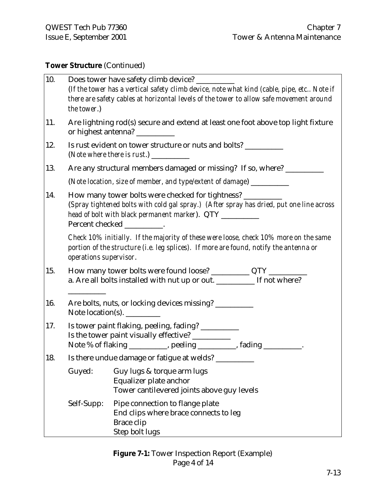## **Tower Structure** (Continued)

| 10. | Does tower have safety climb device? ____<br>(If the tower has a vertical safety climb device, note what kind (cable, pipe, etc Note if<br>there are safety cables at horizontal levels of the tower to allow safe movement around<br>the tower.)    |                                                                                                                                                                                                         |  |  |
|-----|------------------------------------------------------------------------------------------------------------------------------------------------------------------------------------------------------------------------------------------------------|---------------------------------------------------------------------------------------------------------------------------------------------------------------------------------------------------------|--|--|
| 11. | Are lightning rod(s) secure and extend at least one foot above top light fixture<br>or highest antenna? __________                                                                                                                                   |                                                                                                                                                                                                         |  |  |
| 12. |                                                                                                                                                                                                                                                      | Is rust evident on tower structure or nuts and bolts? ________                                                                                                                                          |  |  |
| 13. |                                                                                                                                                                                                                                                      | Are any structural members damaged or missing? If so, where? ______                                                                                                                                     |  |  |
|     |                                                                                                                                                                                                                                                      | (Note location, size of member, and type/extent of damage) _______________                                                                                                                              |  |  |
| 14. | How many tower bolts were checked for tightness? _________<br>(Spray tightened bolts with cold gal spray.) (After spray has dried, put one line across<br>head of bolt with black permanent marker). QTY<br>Percent checked<br><u>and a straight</u> |                                                                                                                                                                                                         |  |  |
|     |                                                                                                                                                                                                                                                      | Check 10% initially. If the majority of these were loose, check 10% more on the same<br>portion of the structure (i.e. leg splices). If more are found, notify the antenna or<br>operations supervisor. |  |  |
| 15. |                                                                                                                                                                                                                                                      | How many tower bolts were found loose? _____________ QTY ___________                                                                                                                                    |  |  |
|     |                                                                                                                                                                                                                                                      | a. Are all bolts installed with nut up or out. _________ If not where?                                                                                                                                  |  |  |
| 16. | Are bolts, nuts, or locking devices missing? _________<br>Note location(s).                                                                                                                                                                          |                                                                                                                                                                                                         |  |  |
| 17. | Is tower paint flaking, peeling, fading? ___________<br>Is the tower paint visually effective? __________<br>Note % of flaking ___________, peeling __________, fading _________.                                                                    |                                                                                                                                                                                                         |  |  |
| 18. | Is there undue damage or fatigue at welds? ____                                                                                                                                                                                                      |                                                                                                                                                                                                         |  |  |
|     | Guyed:                                                                                                                                                                                                                                               | Guy lugs & torque arm lugs<br>Equalizer plate anchor<br>Tower cantilevered joints above guy levels                                                                                                      |  |  |
|     | Self-Supp:                                                                                                                                                                                                                                           | Pipe connection to flange plate<br>End clips where brace connects to leg<br>Brace clip<br>Step bolt lugs                                                                                                |  |  |

## **Figure 7-1:** Tower Inspection Report (Example) Page 4 of 14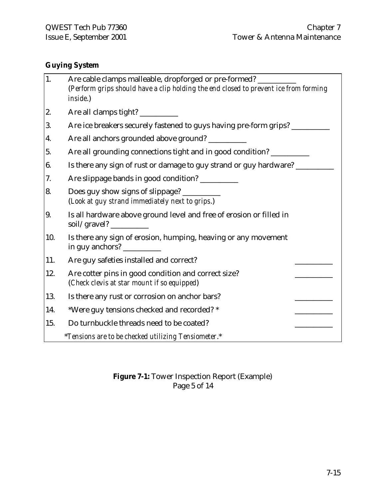## **Guying System**

| 1.  | Are cable clamps malleable, dropforged or pre-formed? _______<br>(Perform grips should have a clip holding the end closed to prevent ice from forming<br>inside.) |
|-----|-------------------------------------------------------------------------------------------------------------------------------------------------------------------|
| 2.  | Are all clamps tight? ___________                                                                                                                                 |
| 3.  | Are ice breakers securely fastened to guys having pre-form grips? _______                                                                                         |
| 4.  | Are all anchors grounded above ground? __________                                                                                                                 |
| 5.  | Are all grounding connections tight and in good condition? _________                                                                                              |
| 6.  | Is there any sign of rust or damage to guy strand or guy hardware? ____                                                                                           |
| 7.  | Are slippage bands in good condition?                                                                                                                             |
| 8.  | Does guy show signs of slippage? ________<br>(Look at guy strand immediately next to grips.)                                                                      |
| 9.  | Is all hardware above ground level and free of erosion or filled in                                                                                               |
| 10. | Is there any sign of erosion, humping, heaving or any movement<br>in guy anchors?                                                                                 |
| 11. | Are guy safeties installed and correct?                                                                                                                           |
| 12. | Are cotter pins in good condition and correct size?<br>(Check clevis at star mount if so equipped)                                                                |
| 13. | Is there any rust or corrosion on anchor bars?                                                                                                                    |
| 14. | *Were guy tensions checked and recorded? *                                                                                                                        |
| 15. | Do turnbuckle threads need to be coated?                                                                                                                          |
|     | *Tensions are to be checked utilizing Tensiometer.*                                                                                                               |

## **Figure 7-1:** Tower Inspection Report (Example) Page 5 of 14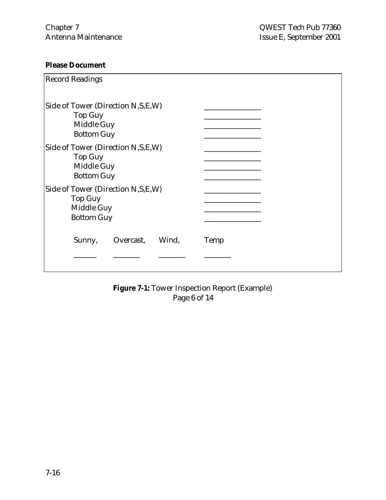## **Please Document**

| <b>Record Readings</b>                                                                    |      |
|-------------------------------------------------------------------------------------------|------|
| Side of Tower (Direction N, S, E, W)<br><b>Top Guy</b><br>Middle Guy<br><b>Bottom Guy</b> |      |
| Side of Tower (Direction N, S, E, W)<br><b>Top Guy</b><br>Middle Guy<br><b>Bottom Guy</b> |      |
| Side of Tower (Direction N, S, E, W)<br><b>Top Guy</b><br>Middle Guy<br><b>Bottom Guy</b> |      |
| Wind,<br>Sunny,<br>Overcast,                                                              | Temp |
|                                                                                           |      |

**Figure 7-1:** Tower Inspection Report (Example) Page 6 of 14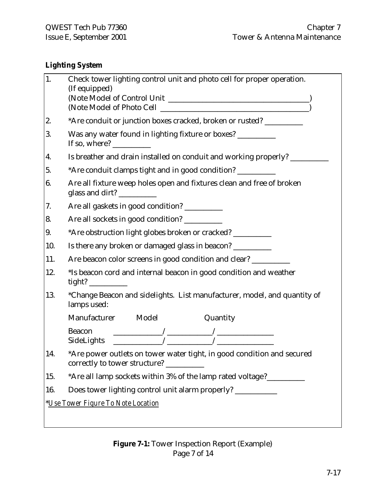## **Lighting System**

| 1.  | Check tower lighting control unit and photo cell for proper operation.<br>(If equipped)                                                                                                                                                      |
|-----|----------------------------------------------------------------------------------------------------------------------------------------------------------------------------------------------------------------------------------------------|
|     |                                                                                                                                                                                                                                              |
|     |                                                                                                                                                                                                                                              |
| 2.  | *Are conduit or junction boxes cracked, broken or rusted? __________                                                                                                                                                                         |
| 3.  | Was any water found in lighting fixture or boxes? _________<br>If so, where? $\frac{1}{\sqrt{1-\frac{1}{2}}}\$                                                                                                                               |
| 4.  | Is breather and drain installed on conduit and working properly? ________                                                                                                                                                                    |
| 5.  | *Are conduit clamps tight and in good condition? __________                                                                                                                                                                                  |
| 6.  | Are all fixture weep holes open and fixtures clean and free of broken<br>glass and dirt?                                                                                                                                                     |
| 7.  | Are all gaskets in good condition? _________                                                                                                                                                                                                 |
| 8.  | Are all sockets in good condition? _________                                                                                                                                                                                                 |
| 9.  | *Are obstruction light globes broken or cracked? ___________                                                                                                                                                                                 |
| 10. | Is there any broken or damaged glass in beacon? __________                                                                                                                                                                                   |
| 11. | Are beacon color screens in good condition and clear? _________                                                                                                                                                                              |
| 12. | *Is beacon cord and internal beacon in good condition and weather                                                                                                                                                                            |
| 13. | *Change Beacon and sidelights. List manufacturer, model, and quantity of<br>lamps used:                                                                                                                                                      |
|     | Manufacturer Model<br>Quantity                                                                                                                                                                                                               |
|     | $\begin{tabular}{l c c c} \text{Beacon} & \text{\hspace{0.5cm}} & \text{\hspace{0.5cm}} & \text{\hspace{0.5cm}} \\ \hline \text{SideLights} & \text{\hspace{0.5cm}} & \text{\hspace{0.5cm}} & \text{\hspace{0.5cm}} \\ \hline \end{tabular}$ |
| 14. | *Are power outlets on tower water tight, in good condition and secured<br>correctly to tower structure? __________                                                                                                                           |
| 15. | *Are all lamp sockets within 3% of the lamp rated voltage?______________________                                                                                                                                                             |
| 16. | Does tower lighting control unit alarm properly? __________                                                                                                                                                                                  |
|     | *Use Tower Figure To Note Location                                                                                                                                                                                                           |

## **Figure 7-1:** Tower Inspection Report (Example) Page 7 of 14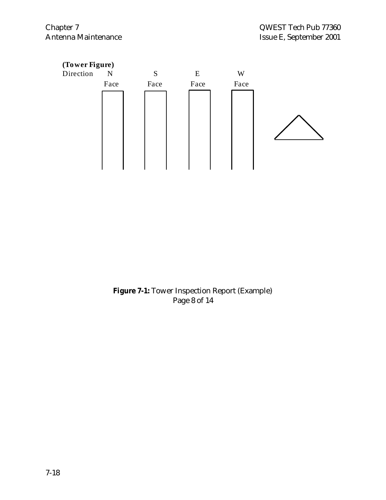

**Figure 7-1:** Tower Inspection Report (Example) Page 8 of 14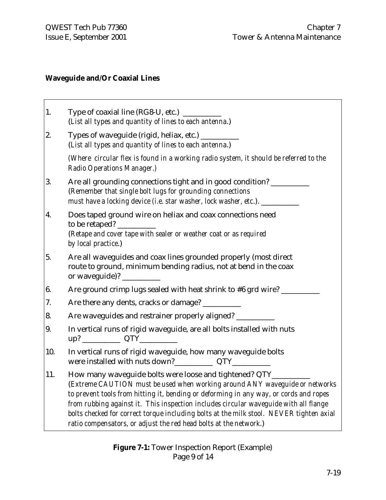# **Waveguide and/Or Coaxial Lines**

| 1.  | (List all types and quantity of lines to each antenna.)                                                                                                                                                                                                                                                                                                                                                                                                                                 |
|-----|-----------------------------------------------------------------------------------------------------------------------------------------------------------------------------------------------------------------------------------------------------------------------------------------------------------------------------------------------------------------------------------------------------------------------------------------------------------------------------------------|
| 2.  | Types of waveguide (rigid, heliax, etc.) __________<br>(List all types and quantity of lines to each antenna.)                                                                                                                                                                                                                                                                                                                                                                          |
|     | (Where circular flex is found in a working radio system, it should be referred to the<br>Radio Operations Manager.)                                                                                                                                                                                                                                                                                                                                                                     |
| 3.  | Are all grounding connections tight and in good condition? _______<br>(Remember that single bolt lugs for grounding connections<br>must have a locking device (i.e. star washer, lock washer, etc.). ______________                                                                                                                                                                                                                                                                     |
| 4.  | Does taped ground wire on heliax and coax connections need<br>to be retaped?<br>(Retape and cover tape with sealer or weather coat or as required<br>by local practice.)                                                                                                                                                                                                                                                                                                                |
| 5.  | Are all waveguides and coax lines grounded properly (most direct<br>route to ground, minimum bending radius, not at bend in the coax<br>or waveguide)? _________                                                                                                                                                                                                                                                                                                                        |
| 6.  | Are ground crimp lugs sealed with heat shrink to #6 grd wire? ____                                                                                                                                                                                                                                                                                                                                                                                                                      |
| 7.  | Are there any dents, cracks or damage? _________                                                                                                                                                                                                                                                                                                                                                                                                                                        |
| 8.  | Are waveguides and restrainer properly aligned? __________                                                                                                                                                                                                                                                                                                                                                                                                                              |
| 9.  | In vertical runs of rigid waveguide, are all bolts installed with nuts<br>up? ________________ QTY______________                                                                                                                                                                                                                                                                                                                                                                        |
| 10. | In vertical runs of rigid waveguide, how many waveguide bolts                                                                                                                                                                                                                                                                                                                                                                                                                           |
| 11. | How many waveguide bolts were loose and tightened? QTY_<br>(Extreme CAUTION must be used when working around ANY waveguide or networks<br>to prevent tools from hitting it, bending or deforming in any way, or cords and ropes<br>from rubbing against it. This inspection includes circular waveguide with all flange<br>bolts checked for correct torque including bolts at the milk stool. NEVER tighten axial<br>ratio compensators, or adjust the red head bolts at the network.) |

**Figure 7-1:** Tower Inspection Report (Example) Page 9 of 14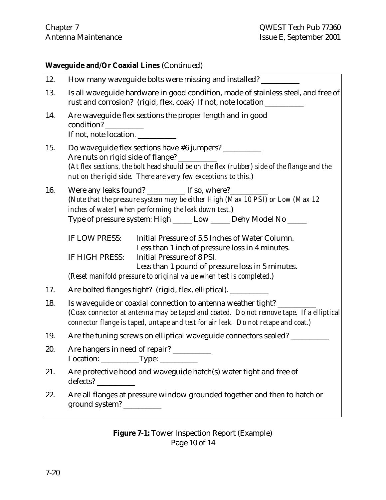#### **Waveguide and/Or Coaxial Lines** (Continued)

| 12. | How many waveguide bolts were missing and installed? __                                                                                                                                                                                                                                        |  |  |  |
|-----|------------------------------------------------------------------------------------------------------------------------------------------------------------------------------------------------------------------------------------------------------------------------------------------------|--|--|--|
| 13. | Is all waveguide hardware in good condition, made of stainless steel, and free of<br>rust and corrosion? (rigid, flex, coax) If not, note location __________                                                                                                                                  |  |  |  |
| 14. | Are waveguide flex sections the proper length and in good<br>condition?<br><u> 1999 - Jan Jawa</u><br>If not, note location.                                                                                                                                                                   |  |  |  |
| 15. | Do waveguide flex sections have #6 jumpers? __________<br>Are nuts on rigid side of flange?<br>(At flex sections, the bolt head should be on the flex (rubber) side of the flange and the<br>nut on the rigid side. There are very few exceptions to this.)                                    |  |  |  |
| 16. | Were any leaks found? ___________ If so, where?_______<br>(Note that the pressure system may be either High (Max 10 PSI) or Low (Max 12<br>inches of water) when performing the leak down test.)<br>Type of pressure system: High _____ Low _____ Dehy Model No ____                           |  |  |  |
|     | IF LOW PRESS:<br>Initial Pressure of 5.5 Inches of Water Column.<br>Less than 1 inch of pressure loss in 4 minutes.<br>Initial Pressure of 8 PSI.<br>IF HIGH PRESS:<br>Less than 1 pound of pressure loss in 5 minutes.<br>(Reset manifold pressure to original value when test is completed.) |  |  |  |
| 17. | Are bolted flanges tight? (rigid, flex, elliptical). __________                                                                                                                                                                                                                                |  |  |  |
| 18. | Is waveguide or coaxial connection to antenna weather tight?<br>(Coax connector at antenna may be taped and coated. Do not remove tape. If a elliptical<br>connector flange is taped, untape and test for air leak. Do not retape and coat.)                                                   |  |  |  |
| 19. | Are the tuning screws on elliptical waveguide connectors sealed? __________                                                                                                                                                                                                                    |  |  |  |
| 20. | Are hangers in need of repair? ________<br>Location: Type:                                                                                                                                                                                                                                     |  |  |  |
| 21. | Are protective hood and waveguide hatch(s) water tight and free of<br>defects?                                                                                                                                                                                                                 |  |  |  |
| 22. | Are all flanges at pressure window grounded together and then to hatch or<br>ground system? _                                                                                                                                                                                                  |  |  |  |

## **Figure 7-1:** Tower Inspection Report (Example) Page 10 of 14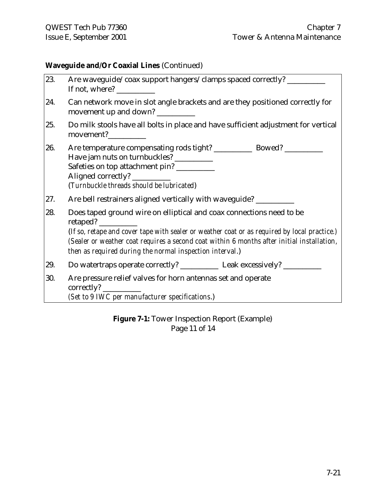## **Waveguide and/Or Coaxial Lines** (Continued)

| 23. | Are waveguide/coax support hangers/clamps spaced correctly? ____________________                                                                                                                                                                                                                                               |  |  |
|-----|--------------------------------------------------------------------------------------------------------------------------------------------------------------------------------------------------------------------------------------------------------------------------------------------------------------------------------|--|--|
| 24. | Can network move in slot angle brackets and are they positioned correctly for<br>movement up and down?                                                                                                                                                                                                                         |  |  |
| 25. | Do milk stools have all bolts in place and have sufficient adjustment for vertical<br>movement?___________                                                                                                                                                                                                                     |  |  |
| 26. | Have jam nuts on turnbuckles? __________<br>Safeties on top attachment pin? __________<br>Aligned correctly?<br>(Turnbuckle threads should be lubricated)                                                                                                                                                                      |  |  |
| 27. | Are bell restrainers aligned vertically with waveguide? ____________                                                                                                                                                                                                                                                           |  |  |
| 28. | Does taped ground wire on elliptical and coax connections need to be<br>(If so, retape and cover tape with sealer or weather coat or as required by local practice.)<br>(Sealer or weather coat requires a second coat within 6 months after initial installation,<br>then as required during the normal inspection interval.) |  |  |
| 29. | Do watertraps operate correctly? _______________ Leak excessively? _____________                                                                                                                                                                                                                                               |  |  |
| 30. | Are pressure relief valves for horn antennas set and operate<br>(Set to 9 IWC per manufacturer specifications.)                                                                                                                                                                                                                |  |  |

**Figure 7-1:** Tower Inspection Report (Example) Page 11 of 14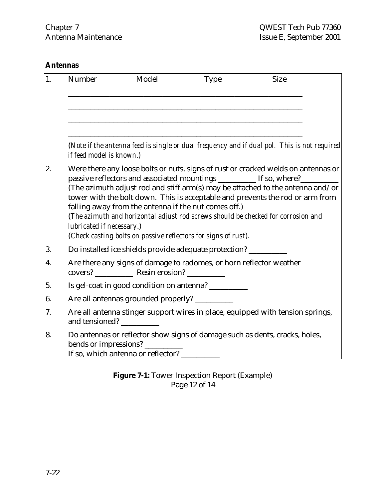## **Antennas**

| 1. | Number                    | Model                                                       | <b>Type</b>                                                                                                                           | <b>Size</b>                                                                                                                                                                                                                                                                                                                               |  |
|----|---------------------------|-------------------------------------------------------------|---------------------------------------------------------------------------------------------------------------------------------------|-------------------------------------------------------------------------------------------------------------------------------------------------------------------------------------------------------------------------------------------------------------------------------------------------------------------------------------------|--|
|    |                           |                                                             |                                                                                                                                       |                                                                                                                                                                                                                                                                                                                                           |  |
|    |                           |                                                             |                                                                                                                                       |                                                                                                                                                                                                                                                                                                                                           |  |
|    | if feed model is known.)  |                                                             |                                                                                                                                       | (Note if the antenna feed is single or dual frequency and if dual pol. This is not required                                                                                                                                                                                                                                               |  |
| 2. | lubricated if necessary.) | falling away from the antenna if the nut comes off.)        | passive reflectors and associated mountings ________ If so, where?_<br>(Check casting bolts on passive reflectors for signs of rust). | Were there any loose bolts or nuts, signs of rust or cracked welds on antennas or<br>(The azimuth adjust rod and stiff arm(s) may be attached to the antenna and/or<br>tower with the bolt down. This is acceptable and prevents the rod or arm from<br>(The azimuth and horizontal adjust rod screws should be checked for corrosion and |  |
| 3. |                           |                                                             | Do installed ice shields provide adequate protection? __________________________                                                      |                                                                                                                                                                                                                                                                                                                                           |  |
| 4. |                           |                                                             | Are there any signs of damage to radomes, or horn reflector weather                                                                   |                                                                                                                                                                                                                                                                                                                                           |  |
|    |                           |                                                             | Is gel-coat in good condition on antenna? _________                                                                                   |                                                                                                                                                                                                                                                                                                                                           |  |
|    |                           | Are all antennas grounded properly? ___________             |                                                                                                                                       |                                                                                                                                                                                                                                                                                                                                           |  |
|    | and tensioned?            |                                                             |                                                                                                                                       | Are all antenna stinger support wires in place, equipped with tension springs,                                                                                                                                                                                                                                                            |  |
|    |                           | bends or impressions?<br>If so, which antenna or reflector? |                                                                                                                                       | Do antennas or reflector show signs of damage such as dents, cracks, holes,                                                                                                                                                                                                                                                               |  |

## **Figure 7-1:** Tower Inspection Report (Example) Page 12 of 14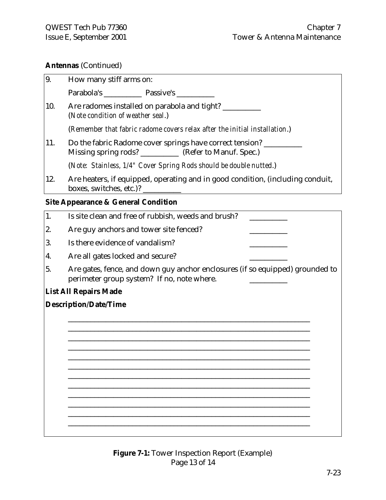#### **Antennas** (Continued)

| 9.  | How many stiff arms on:                                                                                             |  |
|-----|---------------------------------------------------------------------------------------------------------------------|--|
|     |                                                                                                                     |  |
| 10. | Are radomes installed on parabola and tight? ______<br>(Note condition of weather seal.)                            |  |
|     | (Remember that fabric radome covers relax after the initial installation.)                                          |  |
| 11. | Do the fabric Radome cover springs have correct tension?<br>Missing spring rods? __________ (Refer to Manuf. Spec.) |  |
|     | (Note: Stainless, 1/4" Cover Spring Rods should be double nutted.)                                                  |  |
| 12. | Are heaters, if equipped, operating and in good condition, (including conduit,<br>boxes, switches, etc.)?           |  |

#### **Site Appearance & General Condition**

| 1.                           | Is site clean and free of rubbish, weeds and brush?                                                                         |  |
|------------------------------|-----------------------------------------------------------------------------------------------------------------------------|--|
| 2.                           | Are guy anchors and tower site fenced?                                                                                      |  |
| 3.                           | Is there evidence of vandalism?                                                                                             |  |
| 4.                           | Are all gates locked and secure?                                                                                            |  |
| 5.                           | Are gates, fence, and down guy anchor enclosures (if so equipped) grounded to<br>perimeter group system? If no, note where. |  |
|                              | <b>List All Repairs Made</b>                                                                                                |  |
| <b>Description/Date/Time</b> |                                                                                                                             |  |
|                              |                                                                                                                             |  |
|                              |                                                                                                                             |  |
|                              |                                                                                                                             |  |
|                              |                                                                                                                             |  |
|                              |                                                                                                                             |  |
|                              |                                                                                                                             |  |
|                              |                                                                                                                             |  |
|                              |                                                                                                                             |  |
|                              |                                                                                                                             |  |
|                              |                                                                                                                             |  |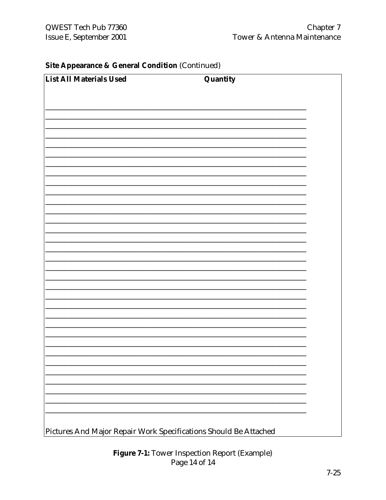### **Site Appearance & General Condition (Continued)**

| List All Materials Used | Quantity |  |
|-------------------------|----------|--|
|                         |          |  |
|                         |          |  |
|                         |          |  |
|                         |          |  |
|                         |          |  |
|                         |          |  |
|                         |          |  |
|                         |          |  |
|                         |          |  |
|                         |          |  |
|                         |          |  |
|                         |          |  |
|                         |          |  |
|                         |          |  |
|                         |          |  |
|                         |          |  |
|                         |          |  |
|                         |          |  |
|                         |          |  |
|                         |          |  |
|                         |          |  |
|                         |          |  |
|                         |          |  |
|                         |          |  |

Figure 7-1: Tower Inspection Report (Example) Page 14 of 14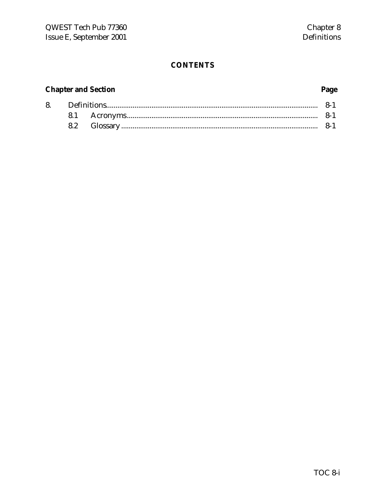#### **CONTENTS**

#### **Chapter and Section**

#### 8.  $8 - 1$ 8.1  $8 - 1$ 8.2

#### Page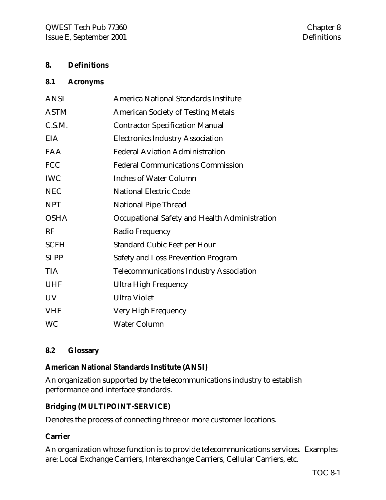#### **8. Definitions**

#### **8.1 Acronyms**

| <b>ANSI</b> | <b>America National Standards Institute</b>    |
|-------------|------------------------------------------------|
| <b>ASTM</b> | <b>American Society of Testing Metals</b>      |
| C.S.M.      | <b>Contractor Specification Manual</b>         |
| <b>EIA</b>  | <b>Electronics Industry Association</b>        |
| <b>FAA</b>  | <b>Federal Aviation Administration</b>         |
| <b>FCC</b>  | <b>Federal Communications Commission</b>       |
| <b>IWC</b>  | <b>Inches of Water Column</b>                  |
| <b>NEC</b>  | <b>National Electric Code</b>                  |
| <b>NPT</b>  | <b>National Pipe Thread</b>                    |
| <b>OSHA</b> | Occupational Safety and Health Administration  |
| RF          | Radio Frequency                                |
| <b>SCFH</b> | <b>Standard Cubic Feet per Hour</b>            |
| <b>SLPP</b> | <b>Safety and Loss Prevention Program</b>      |
| <b>TIA</b>  | <b>Telecommunications Industry Association</b> |
| <b>UHF</b>  | <b>Ultra High Frequency</b>                    |
| <b>UV</b>   | <b>Ultra Violet</b>                            |
| <b>VHF</b>  | Very High Frequency                            |
| <b>WC</b>   | <b>Water Column</b>                            |

#### **8.2 Glossary**

#### **American National Standards Institute (ANSI)**

An organization supported by the telecommunications industry to establish performance and interface standards.

#### **Bridging (MULTIPOINT-SERVICE)**

Denotes the process of connecting three or more customer locations.

#### **Carrier**

An organization whose function is to provide telecommunications services. Examples are: Local Exchange Carriers, Interexchange Carriers, Cellular Carriers, etc.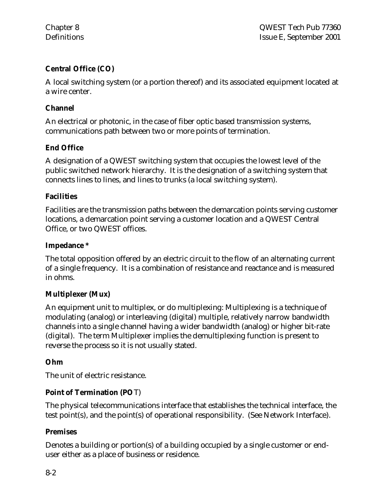## **Central Office (CO)**

A local switching system (or a portion thereof) and its associated equipment located at a wire center.

#### **Channel**

An electrical or photonic, in the case of fiber optic based transmission systems, communications path between two or more points of termination.

### **End Office**

A designation of a QWEST switching system that occupies the lowest level of the public switched network hierarchy. It is the designation of a switching system that connects lines to lines, and lines to trunks (a local switching system).

#### **Facilities**

Facilities are the transmission paths between the demarcation points serving customer locations, a demarcation point serving a customer location and a QWEST Central Office, or two QWEST offices.

#### **Impedance \***

The total opposition offered by an electric circuit to the flow of an alternating current of a single frequency. It is a combination of resistance and reactance and is measured in ohms.

### **Multiplexer (Mux)**

An equipment unit to multiplex, or do multiplexing: Multiplexing is a technique of modulating (analog) or interleaving (digital) multiple, relatively narrow bandwidth channels into a single channel having a wider bandwidth (analog) or higher bit-rate (digital). The term Multiplexer implies the demultiplexing function is present to reverse the process so it is not usually stated.

#### **Ohm**

The unit of electric resistance.

### **Point of Termination (PO**T)

The physical telecommunications interface that establishes the technical interface, the test point(s), and the point(s) of operational responsibility. (See Network Interface).

### **Premises**

Denotes a building or portion(s) of a building occupied by a single customer or enduser either as a place of business or residence.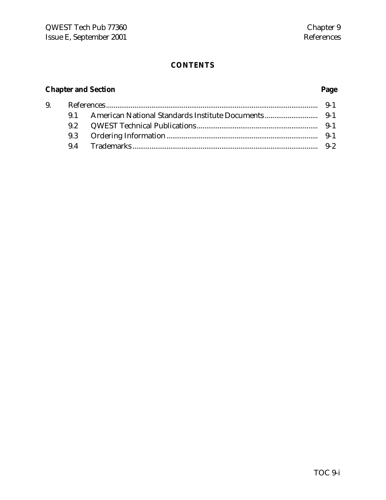# **CONTENTS**

# **Chapter and Section Page**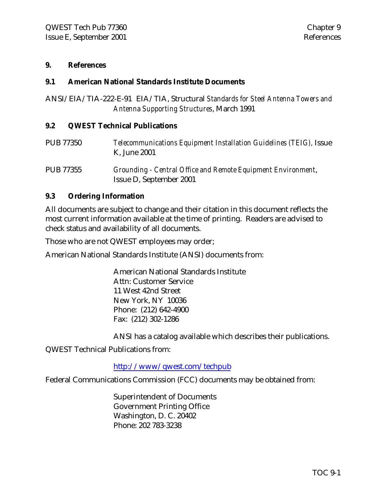#### **9. References**

#### **9.1 American National Standards Institute Documents**

ANSI/EIA/TIA-222-E-91 EIA/TIA, Structural *Standards for Steel Antenna Towers and Antenna Supporting Structures*, March 1991

#### **9.2 QWEST Technical Publications**

PUB 77350 *Telecommunications Equipment Installation Guidelines (TEIG),* Issue K, June 2001

PUB 77355 *Grounding - Central Office and Remote Equipment Environment*, Issue D, September 2001

#### **9.3 Ordering Information**

All documents are subject to change and their citation in this document reflects the most current information available at the time of printing. Readers are advised to check status and availability of all documents.

Those who are not QWEST employees may order;

American National Standards Institute (ANSI) documents from:

American National Standards Institute Attn: Customer Service 11 West 42nd Street New York, NY 10036 Phone: (212) 642-4900 Fax: (212) 302-1286

ANSI has a catalog available which describes their publications.

QWEST Technical Publications from:

#### http://www/qwest.com/techpub

Federal Communications Commission (FCC) documents may be obtained from:

Superintendent of Documents Government Printing Office Washington, D. C. 20402 Phone: 202 783-3238